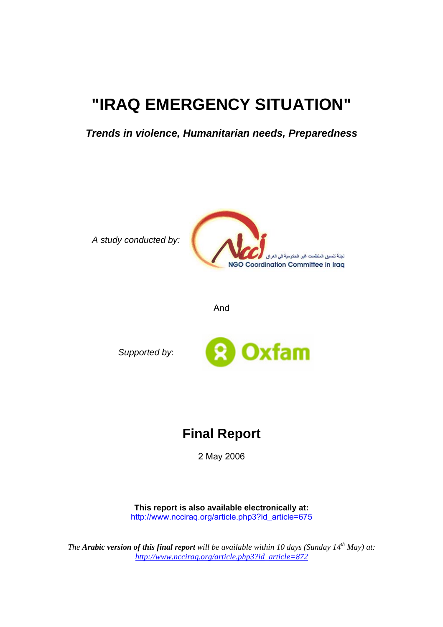# **"IRAQ EMERGENCY SITUATION"**

*Trends in violence, Humanitarian needs, Preparedness* 

*A study conducted by:*



And

*Supported by*:



## **Final Report**

2 May 2006

**This report is also available electronically at:** [http://www.ncciraq.org/article.php3?id\\_article=675](http://www.ncciraq.org/article.php3?id_article=675)

*The Arabic version of this final report will be available within 10 days (Sunday 14<sup>th</sup> May) at: [http://www.ncciraq.org/article.php3?id\\_article=872](http://www.ncciraq.org/article.php3?id_article=872)*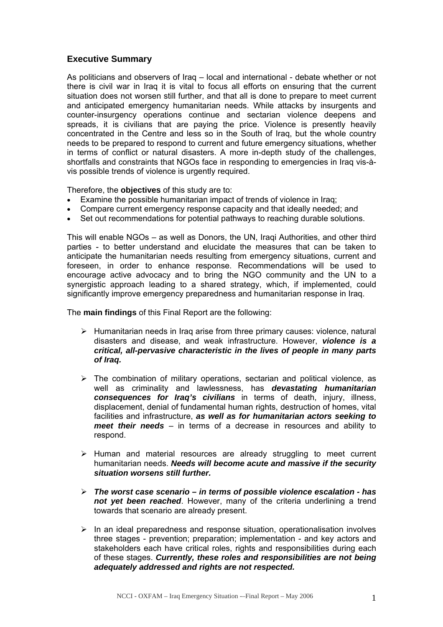#### **Executive Summary**

As politicians and observers of Iraq – local and international - debate whether or not there is civil war in Iraq it is vital to focus all efforts on ensuring that the current situation does not worsen still further, and that all is done to prepare to meet current and anticipated emergency humanitarian needs. While attacks by insurgents and counter-insurgency operations continue and sectarian violence deepens and spreads, it is civilians that are paying the price. Violence is presently heavily concentrated in the Centre and less so in the South of Iraq, but the whole country needs to be prepared to respond to current and future emergency situations, whether in terms of conflict or natural disasters. A more in-depth study of the challenges, shortfalls and constraints that NGOs face in responding to emergencies in Iraq vis-àvis possible trends of violence is urgently required.

Therefore, the **objectives** of this study are to:

- Examine the possible humanitarian impact of trends of violence in Iraq;
- Compare current emergency response capacity and that ideally needed; and
- Set out recommendations for potential pathways to reaching durable solutions.

This will enable NGOs – as well as Donors, the UN, Iraqi Authorities, and other third parties - to better understand and elucidate the measures that can be taken to anticipate the humanitarian needs resulting from emergency situations, current and foreseen, in order to enhance response. Recommendations will be used to encourage active advocacy and to bring the NGO community and the UN to a synergistic approach leading to a shared strategy, which, if implemented, could significantly improve emergency preparedness and humanitarian response in Iraq.

The **main findings** of this Final Report are the following:

- $\triangleright$  Humanitarian needs in Iraq arise from three primary causes: violence, natural disasters and disease, and weak infrastructure. However, *violence is a critical, all-pervasive characteristic in the lives of people in many parts of Iraq.*
- $\triangleright$  The combination of military operations, sectarian and political violence, as well as criminality and lawlessness, has *devastating humanitarian consequences for Iraq's civilians* in terms of death, injury, illness, displacement, denial of fundamental human rights, destruction of homes, vital facilities and infrastructure, *as well as for humanitarian actors seeking to meet their needs* – in terms of a decrease in resources and ability to respond.
- $\triangleright$  Human and material resources are already struggling to meet current humanitarian needs. *Needs will become acute and massive if the security situation worsens still further.*
- ¾ *The worst case scenario in terms of possible violence escalation has not yet been reached*. However, many of the criteria underlining a trend towards that scenario are already present.
- $\triangleright$  In an ideal preparedness and response situation, operationalisation involves three stages - prevention; preparation; implementation - and key actors and stakeholders each have critical roles, rights and responsibilities during each of these stages. *Currently, these roles and responsibilities are not being adequately addressed and rights are not respected.*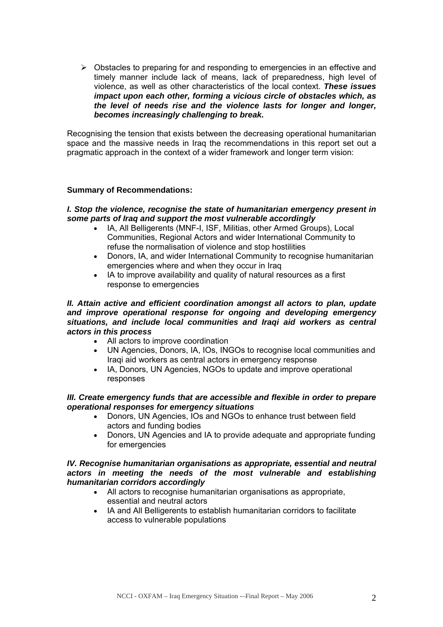$\triangleright$  Obstacles to preparing for and responding to emergencies in an effective and timely manner include lack of means, lack of preparedness, high level of violence, as well as other characteristics of the local context. *These issues impact upon each other, forming a vicious circle of obstacles which, as the level of needs rise and the violence lasts for longer and longer, becomes increasingly challenging to break.*

Recognising the tension that exists between the decreasing operational humanitarian space and the massive needs in Iraq the recommendations in this report set out a pragmatic approach in the context of a wider framework and longer term vision:

#### **Summary of Recommendations:**

#### *I. Stop the violence, recognise the state of humanitarian emergency present in some parts of Iraq and support the most vulnerable accordingly*

- IA, All Belligerents (MNF-I, ISF, Militias, other Armed Groups), Local Communities, Regional Actors and wider International Community to refuse the normalisation of violence and stop hostilities
- Donors, IA, and wider International Community to recognise humanitarian emergencies where and when they occur in Iraq
- IA to improve availability and quality of natural resources as a first response to emergencies

#### *II. Attain active and efficient coordination amongst all actors to plan, update and improve operational response for ongoing and developing emergency situations, and include local communities and Iraqi aid workers as central actors in this process*

- All actors to improve coordination
- UN Agencies, Donors, IA, IOs, INGOs to recognise local communities and Iraqi aid workers as central actors in emergency response
- IA, Donors, UN Agencies, NGOs to update and improve operational responses

#### *III. Create emergency funds that are accessible and flexible in order to prepare operational responses for emergency situations*

- Donors, UN Agencies, IOs and NGOs to enhance trust between field actors and funding bodies
- Donors, UN Agencies and IA to provide adequate and appropriate funding for emergencies

#### *IV. Recognise humanitarian organisations as appropriate, essential and neutral actors in meeting the needs of the most vulnerable and establishing humanitarian corridors accordingly*

- All actors to recognise humanitarian organisations as appropriate, essential and neutral actors
- IA and All Belligerents to establish humanitarian corridors to facilitate access to vulnerable populations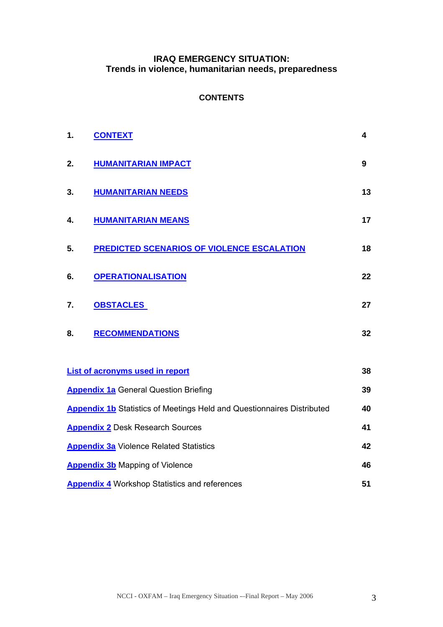#### **IRAQ EMERGENCY SITUATION: Trends in violence, humanitarian needs, preparedness**

#### **CONTENTS**

| 1.                                                                                  | <b>CONTEXT</b>                                     | 4                |  |  |  |
|-------------------------------------------------------------------------------------|----------------------------------------------------|------------------|--|--|--|
| 2.                                                                                  | <b>HUMANITARIAN IMPACT</b>                         | $\boldsymbol{9}$ |  |  |  |
| 3.                                                                                  | <b>HUMANITARIAN NEEDS</b>                          | 13               |  |  |  |
| 4.                                                                                  | <b>HUMANITARIAN MEANS</b>                          | 17               |  |  |  |
| 5.                                                                                  | <b>PREDICTED SCENARIOS OF VIOLENCE ESCALATION</b>  | 18               |  |  |  |
| 6.                                                                                  | <b>OPERATIONALISATION</b>                          | 22               |  |  |  |
| 7.                                                                                  | <b>OBSTACLES</b>                                   | 27               |  |  |  |
| 8.                                                                                  | <b>RECOMMENDATIONS</b>                             | 32               |  |  |  |
|                                                                                     | <b>List of acronyms used in report</b>             | 38               |  |  |  |
|                                                                                     | <b>Appendix 1a</b> General Question Briefing<br>39 |                  |  |  |  |
| <b>Appendix 1b</b> Statistics of Meetings Held and Questionnaires Distributed<br>40 |                                                    |                  |  |  |  |
| 41<br><b>Appendix 2</b> Desk Research Sources                                       |                                                    |                  |  |  |  |
| 42<br><b>Appendix 3a Violence Related Statistics</b>                                |                                                    |                  |  |  |  |
| <b>Appendix 3b</b> Mapping of Violence<br>46                                        |                                                    |                  |  |  |  |
| <b>Appendix 4</b> Workshop Statistics and references<br>51                          |                                                    |                  |  |  |  |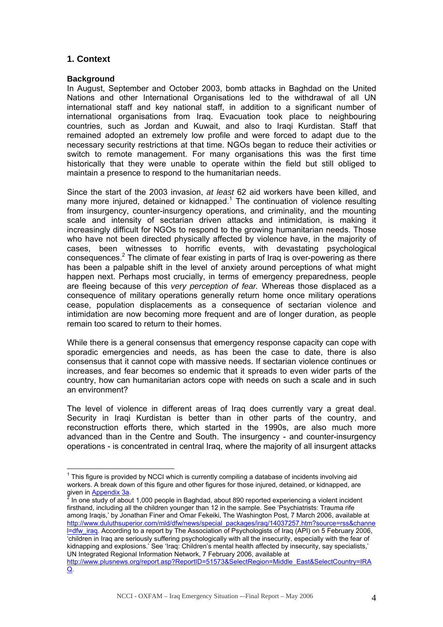#### <span id="page-4-0"></span>**1. Context**

#### **Background**

In August, September and October 2003, bomb attacks in Baghdad on the United Nations and other International Organisations led to the withdrawal of all UN international staff and key national staff, in addition to a significant number of international organisations from Iraq. Evacuation took place to neighbouring countries, such as Jordan and Kuwait, and also to Iraqi Kurdistan. Staff that remained adopted an extremely low profile and were forced to adapt due to the necessary security restrictions at that time. NGOs began to reduce their activities or switch to remote management. For many organisations this was the first time historically that they were unable to operate within the field but still obliged to maintain a presence to respond to the humanitarian needs.

Since the start of the 2003 invasion, *at least* 62 aid workers have been killed, and many more injured, detained or kidnapped. $1$  The continuation of violence resulting from insurgency, counter-insurgency operations, and criminality, and the mounting scale and intensity of sectarian driven attacks and intimidation, is making it increasingly difficult for NGOs to respond to the growing humanitarian needs. Those who have not been directed physically affected by violence have, in the majority of cases, been witnesses to horrific events, with devastating psychological consequences.<sup>[2](#page-4-2)</sup> The climate of fear existing in parts of Iraq is over-powering as there has been a palpable shift in the level of anxiety around perceptions of what might happen next. Perhaps most crucially, in terms of emergency preparedness, people are fleeing because of this *very perception of fear.* Whereas those displaced as a consequence of military operations generally return home once military operations cease, population displacements as a consequence of sectarian violence and intimidation are now becoming more frequent and are of longer duration, as people remain too scared to return to their homes.

While there is a general consensus that emergency response capacity can cope with sporadic emergencies and needs, as has been the case to date, there is also consensus that it cannot cope with massive needs. If sectarian violence continues or increases, and fear becomes so endemic that it spreads to even wider parts of the country, how can humanitarian actors cope with needs on such a scale and in such an environment?

The level of violence in different areas of Iraq does currently vary a great deal. Security in Iraqi Kurdistan is better than in other parts of the country, and reconstruction efforts there, which started in the 1990s, are also much more advanced than in the Centre and South. The insurgency - and counter-insurgency operations - is concentrated in central Iraq, where the majority of all insurgent attacks

<span id="page-4-2"></span> In one study of about 1,000 people in Baghdad, about 890 reported experiencing a violent incident firsthand, including all the children younger than 12 in the sample. See 'Psychiatrists: Trauma rife among Iraqis,' by Jonathan Finer and Omar Fekeiki, The Washington Post, 7 March 2006, available at [http://www.duluthsuperior.com/mld/dfw/news/special\\_packages/iraq/14037257.htm?source=rss&channe](http://www.duluthsuperior.com/mld/dfw/news/special_packages/iraq/14037257.htm?source=rss&channel=dfw_iraq) [l=dfw\\_iraq](http://www.duluthsuperior.com/mld/dfw/news/special_packages/iraq/14037257.htm?source=rss&channel=dfw_iraq). According to a report by The Association of Psychologists of Iraq (API) on 5 February 2006, 'children in Iraq are seriously suffering psychologically with all the insecurity, especially with the fear of kidnapping and explosions.' See 'Iraq: Children's mental health affected by insecurity, say specialists,' UN Integrated Regional Information Network, 7 February 2006, available at [http://www.plusnews.org/report.asp?ReportID=51573&SelectRegion=Middle\\_East&SelectCountry=IRA](http://www.plusnews.org/report.asp?ReportID=51573&SelectRegion=Middle_East&SelectCountry=IRAQ) [Q](http://www.plusnews.org/report.asp?ReportID=51573&SelectRegion=Middle_East&SelectCountry=IRAQ).

<span id="page-4-1"></span> $\overline{a}$  $1$  This figure is provided by NCCI which is currently compiling a database of incidents involving aid workers. A break down of this figure and other figures for those injured, detained, or kidnapped, are given in [Appendix 3a](#page-44-0).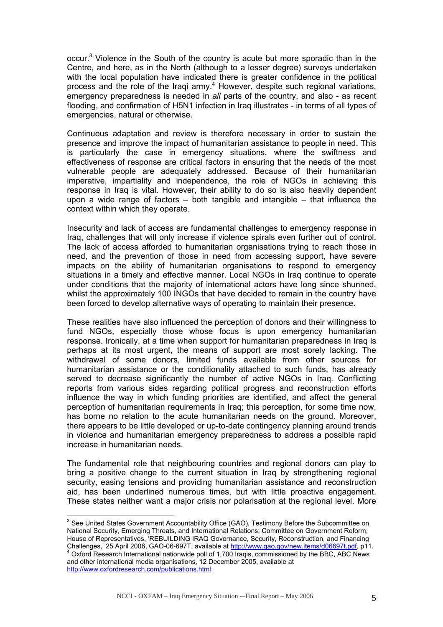occur.<sup>[3](#page-5-0)</sup> Violence in the South of the country is acute but more sporadic than in the Centre, and here, as in the North (although to a lesser degree) surveys undertaken with the local population have indicated there is greater confidence in the political process and the role of the Iraqi army.<sup>[4](#page-5-1)</sup> However, despite such regional variations, emergency preparedness is needed in *all* parts of the country, and also - as recent flooding, and confirmation of H5N1 infection in Iraq illustrates - in terms of all types of emergencies, natural or otherwise.

Continuous adaptation and review is therefore necessary in order to sustain the presence and improve the impact of humanitarian assistance to people in need. This is particularly the case in emergency situations, where the swiftness and effectiveness of response are critical factors in ensuring that the needs of the most vulnerable people are adequately addressed. Because of their humanitarian imperative, impartiality and independence, the role of NGOs in achieving this response in Iraq is vital. However, their ability to do so is also heavily dependent upon a wide range of factors – both tangible and intangible – that influence the context within which they operate.

Insecurity and lack of access are fundamental challenges to emergency response in Iraq, challenges that will only increase if violence spirals even further out of control. The lack of access afforded to humanitarian organisations trying to reach those in need, and the prevention of those in need from accessing support, have severe impacts on the ability of humanitarian organisations to respond to emergency situations in a timely and effective manner. Local NGOs in Iraq continue to operate under conditions that the majority of international actors have long since shunned, whilst the approximately 100 INGOs that have decided to remain in the country have been forced to develop alternative ways of operating to maintain their presence.

These realities have also influenced the perception of donors and their willingness to fund NGOs, especially those whose focus is upon emergency humanitarian response. Ironically, at a time when support for humanitarian preparedness in Iraq is perhaps at its most urgent, the means of support are most sorely lacking. The withdrawal of some donors, limited funds available from other sources for humanitarian assistance or the conditionality attached to such funds, has already served to decrease significantly the number of active NGOs in Iraq. Conflicting reports from various sides regarding political progress and reconstruction efforts influence the way in which funding priorities are identified, and affect the general perception of humanitarian requirements in Iraq; this perception, for some time now, has borne no relation to the acute humanitarian needs on the ground. Moreover, there appears to be little developed or up-to-date contingency planning around trends in violence and humanitarian emergency preparedness to address a possible rapid increase in humanitarian needs.

The fundamental role that neighbouring countries and regional donors can play to bring a positive change to the current situation in Iraq by strengthening regional security, easing tensions and providing humanitarian assistance and reconstruction aid, has been underlined numerous times, but with little proactive engagement. These states neither want a major crisis nor polarisation at the regional level. More

<span id="page-5-0"></span> 3 See United States Government Accountability Office (GAO), Testimony Before the Subcommittee on National Security, Emerging Threats, and International Relations; Committee on Government Reform, House of Representatives, 'REBUILDING IRAQ Governance, Security, Reconstruction, and Financing Challenges,' 25 April 2006, GAO-06-697T, available at <u><http://www.gao.gov/new.items/d06697t.pdf></u>, p11.<br><sup>4</sup> Oxford Research International nationwide poll of 1,700 Iraqis, commissioned by the BBC, ABC News

<span id="page-5-1"></span>and other international media organisations, 12 December 2005, available at <http://www.oxfordresearch.com/publications.html>.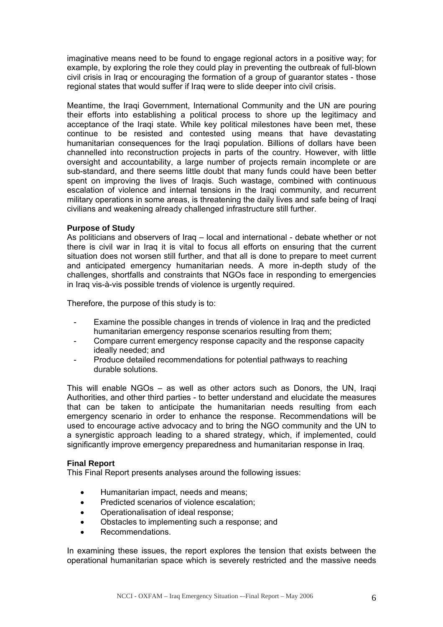imaginative means need to be found to engage regional actors in a positive way; for example, by exploring the role they could play in preventing the outbreak of full-blown civil crisis in Iraq or encouraging the formation of a group of guarantor states - those regional states that would suffer if Iraq were to slide deeper into civil crisis.

Meantime, the Iraqi Government, International Community and the UN are pouring their efforts into establishing a political process to shore up the legitimacy and acceptance of the Iraqi state. While key political milestones have been met, these continue to be resisted and contested using means that have devastating humanitarian consequences for the Iraqi population. Billions of dollars have been channelled into reconstruction projects in parts of the country. However, with little oversight and accountability, a large number of projects remain incomplete or are sub-standard, and there seems little doubt that many funds could have been better spent on improving the lives of Iraqis. Such wastage, combined with continuous escalation of violence and internal tensions in the Iraqi community, and recurrent military operations in some areas, is threatening the daily lives and safe being of Iraqi civilians and weakening already challenged infrastructure still further.

#### **Purpose of Study**

As politicians and observers of Iraq – local and international - debate whether or not there is civil war in Iraq it is vital to focus all efforts on ensuring that the current situation does not worsen still further, and that all is done to prepare to meet current and anticipated emergency humanitarian needs. A more in-depth study of the challenges, shortfalls and constraints that NGOs face in responding to emergencies in Iraq vis-à-vis possible trends of violence is urgently required.

Therefore, the purpose of this study is to:

- Examine the possible changes in trends of violence in Iraq and the predicted humanitarian emergency response scenarios resulting from them;
- Compare current emergency response capacity and the response capacity ideally needed; and
- Produce detailed recommendations for potential pathways to reaching durable solutions.

This will enable NGOs – as well as other actors such as Donors, the UN, Iraqi Authorities, and other third parties - to better understand and elucidate the measures that can be taken to anticipate the humanitarian needs resulting from each emergency scenario in order to enhance the response. Recommendations will be used to encourage active advocacy and to bring the NGO community and the UN to a synergistic approach leading to a shared strategy, which, if implemented, could significantly improve emergency preparedness and humanitarian response in Iraq.

#### **Final Report**

This Final Report presents analyses around the following issues:

- Humanitarian impact, needs and means;
- Predicted scenarios of violence escalation;
- Operationalisation of ideal response;
- Obstacles to implementing such a response; and
- Recommendations.

In examining these issues, the report explores the tension that exists between the operational humanitarian space which is severely restricted and the massive needs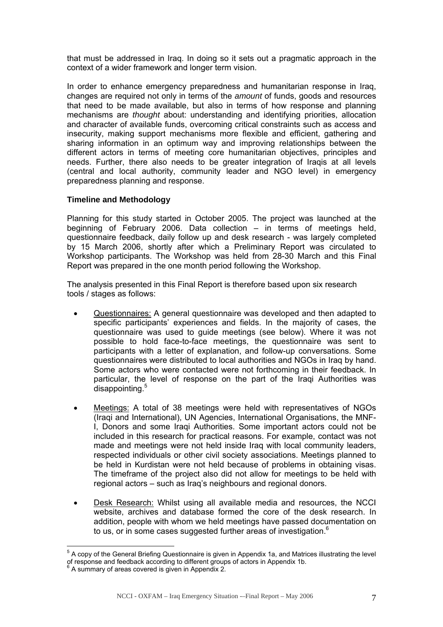that must be addressed in Iraq. In doing so it sets out a pragmatic approach in the context of a wider framework and longer term vision.

In order to enhance emergency preparedness and humanitarian response in Iraq, changes are required not only in terms of the *amount* of funds, goods and resources that need to be made available, but also in terms of how response and planning mechanisms are *thought* about: understanding and identifying priorities, allocation and character of available funds, overcoming critical constraints such as access and insecurity, making support mechanisms more flexible and efficient, gathering and sharing information in an optimum way and improving relationships between the different actors in terms of meeting core humanitarian objectives, principles and needs. Further, there also needs to be greater integration of Iraqis at all levels (central and local authority, community leader and NGO level) in emergency preparedness planning and response.

#### **Timeline and Methodology**

Planning for this study started in October 2005. The project was launched at the beginning of February 2006. Data collection – in terms of meetings held, questionnaire feedback, daily follow up and desk research - was largely completed by 15 March 2006, shortly after which a Preliminary Report was circulated to Workshop participants. The Workshop was held from 28-30 March and this Final Report was prepared in the one month period following the Workshop.

The analysis presented in this Final Report is therefore based upon six research tools / stages as follows:

- Questionnaires: A general questionnaire was developed and then adapted to specific participants' experiences and fields. In the majority of cases, the questionnaire was used to guide meetings (see below). Where it was not possible to hold face-to-face meetings, the questionnaire was sent to participants with a letter of explanation, and follow-up conversations. Some questionnaires were distributed to local authorities and NGOs in Iraq by hand. Some actors who were contacted were not forthcoming in their feedback. In particular, the level of response on the part of the Iraqi Authorities was disappointing.<sup>[5](#page-7-0)</sup>
- Meetings: A total of 38 meetings were held with representatives of NGOs (Iraqi and International), UN Agencies, International Organisations, the MNF-I, Donors and some Iraqi Authorities. Some important actors could not be included in this research for practical reasons. For example, contact was not made and meetings were not held inside Iraq with local community leaders, respected individuals or other civil society associations. Meetings planned to be held in Kurdistan were not held because of problems in obtaining visas. The timeframe of the project also did not allow for meetings to be held with regional actors – such as Iraq's neighbours and regional donors.
- Desk Research: Whilst using all available media and resources, the NCCI website, archives and database formed the core of the desk research. In addition, people with whom we held meetings have passed documentation on to us, or in some cases suggested further areas of investigation.<sup>[6](#page-7-1)</sup>

 $\overline{a}$ 

<span id="page-7-0"></span><sup>&</sup>lt;sup>5</sup> A copy of the General Briefing Questionnaire is given in Appendix 1a, and Matrices illustrating the level of response and feedback according to different groups of actors in Appendix 1b.<br><sup>6</sup> A summary of areas covered is given in Appendix 2.

<span id="page-7-1"></span>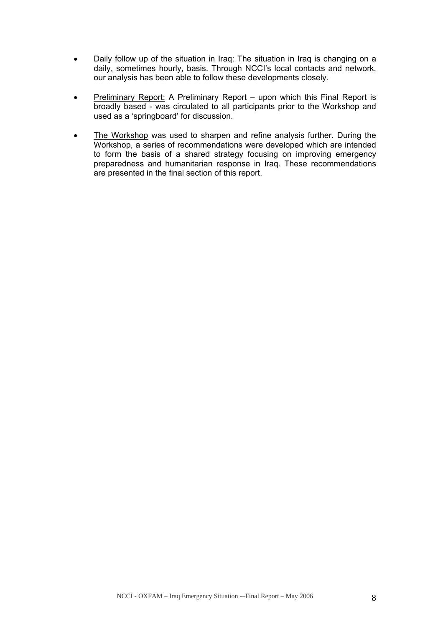- Daily follow up of the situation in Iraq: The situation in Iraq is changing on a daily, sometimes hourly, basis. Through NCCI's local contacts and network, our analysis has been able to follow these developments closely.
- Preliminary Report: A Preliminary Report upon which this Final Report is broadly based - was circulated to all participants prior to the Workshop and used as a 'springboard' for discussion.
- The Workshop was used to sharpen and refine analysis further. During the Workshop, a series of recommendations were developed which are intended to form the basis of a shared strategy focusing on improving emergency preparedness and humanitarian response in Iraq. These recommendations are presented in the final section of this report.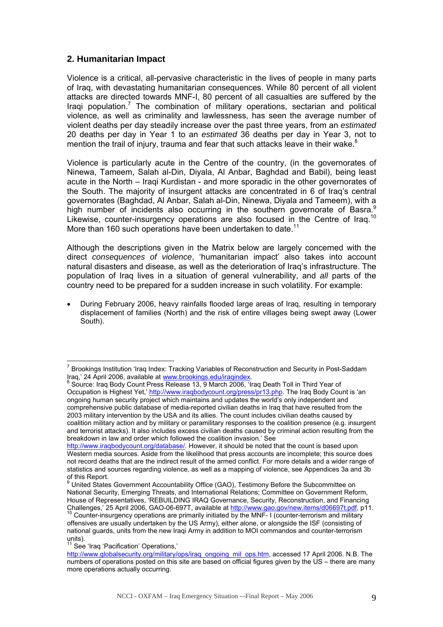#### <span id="page-9-0"></span>**2. Humanitarian Impact**

Violence is a critical, all-pervasive characteristic in the lives of people in many parts of Iraq, with devastating humanitarian consequences. While 80 percent of all violent attacks are directed towards MNF-I, 80 percent of all casualties are suffered by the Iraqi population.<sup>[7](#page-9-1)</sup> The combination of military operations, sectarian and political violence, as well as criminality and lawlessness, has seen the average number of violent deaths per day steadily increase over the past three years, from an *estimated* 20 deaths per day in Year 1 to an *estimated* 36 deaths per day in Year 3, not to mention the trail of injury, trauma and fear that such attacks leave in their wake. $8$ 

Violence is particularly acute in the Centre of the country, (in the governorates of Ninewa, Tameem, Salah al-Din, Diyala, Al Anbar, Baghdad and Babil), being least acute in the North – Iraqi Kurdistan - and more sporadic in the other governorates of the South. The majority of insurgent attacks are concentrated in 6 of Iraq's central governorates (Baghdad, Al Anbar, Salah al-Din, Ninewa, Diyala and Tameem), with a high number of incidents also occurring in the southern governorate of Basra. Likewise, counter-insurgency operations are also focused in the Centre of Iraa.<sup>[10](#page-9-4)</sup> More than 160 such operations have been undertaken to date.<sup>[11](#page-9-5)</sup>

Although the descriptions given in the Matrix below are largely concerned with the direct *consequences of violence*, 'humanitarian impact' also takes into account natural disasters and disease, as well as the deterioration of Iraq's infrastructure. The population of Iraq lives in a situation of general vulnerability, and *all* parts of the country need to be prepared for a sudden increase in such volatility. For example:

• During February 2006, heavy rainfalls flooded large areas of Iraq, resulting in temporary displacement of families (North) and the risk of entire villages being swept away (Lower South).

<span id="page-9-1"></span> $\overline{a}$ <sup>7</sup> Brookings Institution 'Iraq Index: Tracking Variables of Reconstruction and Security in Post-Saddam Iraq,' 24 April 2006, available at [www.brookings.edu/iraqindex](http://www.brookings.edu/iraqindex). 8

<span id="page-9-2"></span>Source: Iraq Body Count Press Release 13, 9 March 2006, 'Iraq Death Toll in Third Year of Occupation is Highest Yet,' [http://www.iraqbodycount.org/press/pr13.php.](http://www.iraqbodycount.org/press/pr13.php) The Iraq Body Count is 'an ongoing human security project which maintains and updates the world's only independent and comprehensive public database of media-reported civilian deaths in Iraq that have resulted from the 2003 military intervention by the USA and its allies. The count includes civilian deaths caused by coalition military action and by military or paramilitary responses to the coalition presence (e.g. insurgent and terrorist attacks). It also includes excess civilian deaths caused by criminal action resulting from the breakdown in law and order which followed the coalition invasion.' See

<http://www.iraqbodycount.org/database/>. However, it should be noted that the count is based upon Western media sources. Aside from the likelihood that press accounts are incomplete; this source does not record deaths that are the indirect result of the armed conflict. For more details and a wider range of statistics and sources regarding violence, as well as a mapping of violence, see Appendices 3a and 3b

<span id="page-9-3"></span>of this Report.<br><sup>9</sup> United States Government Accountability Office (GAO), Testimony Before the Subcommittee on National Security, Emerging Threats, and International Relations; Committee on Government Reform, House of Representatives, 'REBUILDING IRAQ Governance, Security, Reconstruction, and Financing Challenges,' 25 April 2006, GAO-06-697T, available at <http://www.gao.gov/new.items/d06697t.pdf>, p11.<br><sup>10</sup> Counter-insurgency operations are primarily initiated by the MNF- I (counter-terrorism and military

<span id="page-9-4"></span>offensives are usually undertaken by the US Army), either alone, or alongside the ISF (consisting of national guards, units from the new Iraqi Army in addition to MOI commandos and counter-terrorism units).

<span id="page-9-5"></span><sup>&</sup>lt;sup>11</sup> See 'Iraq 'Pacification' Operations,'

[http://www.globalsecurity.org/military/ops/iraq\\_ongoing\\_mil\\_ops.htm](http://www.globalsecurity.org/military/ops/iraq_ongoing_mil_ops.htm), accessed 17 April 2006. N.B. The numbers of operations posted on this site are based on official figures given by the US – there are many more operations actually occurring.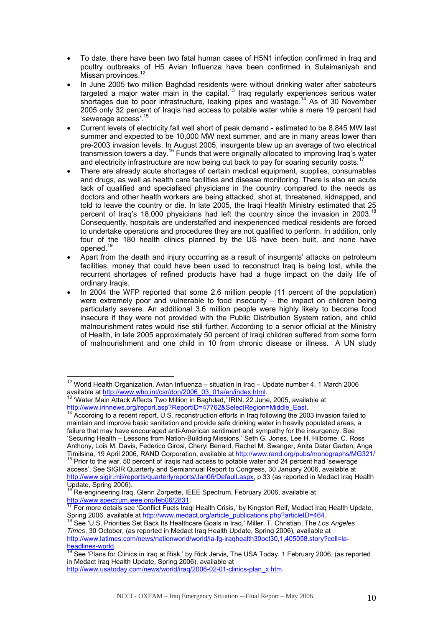- To date, there have been two fatal human cases of H5N1 infection confirmed in Iraq and poultry outbreaks of H5 Avian Influenza have been confirmed in Sulaimaniyah and Missan provinces.
- In June 2005 two million Baghdad residents were without drinking water after saboteurs targeted a major water main in the capital. $13$  Iraq regularly experiences serious water shortages due to poor infrastructure, leaking pipes and wastage.<sup>14</sup> As of 30 November 2005 only 32 percent of Iraqis had access to potable water while a mere 19 percent had 'sewerage access'.[15](#page-10-3)
- Current levels of electricity fall well short of peak demand estimated to be 8,845 MW last summer and expected to be 10,000 MW next summer, and are in many areas lower than pre-2003 invasion levels. In August 2005, insurgents blew up an average of two electrical transmission towers a day.[16](#page-10-4) Funds that were originally allocated to improving Iraq's water and electricity infrastructure are now being cut back to pay for soaring security costs.<sup>1</sup>
- There are already acute shortages of certain medical equipment, supplies, consumables and drugs, as well as health care facilities and disease monitoring. There is also an acute lack of qualified and specialised physicians in the country compared to the needs as doctors and other health workers are being attacked, shot at, threatened, kidnapped, and told to leave the country or die. In late 2005, the Iraqi Health Ministry estimated that 25 percent of Iraq's 18,000 physicians had left the country since the invasion in 2003.<sup>18</sup> Consequently, hospitals are understaffed and inexperienced medical residents are forced to undertake operations and procedures they are not qualified to perform. In addition, only four of the 180 health clinics planned by the US have been built, and none have opened[.19](#page-10-7)
- Apart from the death and injury occurring as a result of insurgents' attacks on petroleum facilities, money that could have been used to reconstruct Iraq is being lost, while the recurrent shortages of refined products have had a huge impact on the daily life of ordinary Iraqis.
- In 2004 the WFP reported that some 2.6 million people (11 percent of the population) were extremely poor and vulnerable to food insecurity – the impact on children being particularly severe. An additional 3.6 million people were highly likely to become food insecure if they were not provided with the Public Distribution System ration, and child malnourishment rates would rise still further. According to a senior official at the Ministry of Health, in late 2005 approximately 50 percent of Iraqi children suffered from some form of malnourishment and one child in 10 from chronic disease or illness. A UN study

 $\overline{a}$ 

<span id="page-10-0"></span><sup>&</sup>lt;sup>12</sup> World Health Organization, Avian Influenza – situation in Iraq – Update number 4, 1 March 2006 available at [http://www.who.int/csr/don/2006\\_03\\_01a/en/index.html.](http://www.who.int/csr/don/2006_03_01a/en/index.html) 13 'Water M[ain Attack Affects Two Million in Baghdad,' IRIN, 22 Jun](http://www.who.int/csr/don/2006_03_01a/en/index.html)e, 2005, available at

<span id="page-10-1"></span>[http://www.irinnews.org/report.asp?ReportID=47762&SelectRegion=Middle\\_East.](http://www.irinnews.org/report.asp?ReportID=47762&SelectRegion=Middle_East)<br><sup>[14](http://www.irinnews.org/report.asp?ReportID=47762&SelectRegion=Middle_East)</sup> According to a recent report, U.S. reconstruction efforts in Iraq following the 2003 invasion failed to

<span id="page-10-2"></span>maintain and improve basic sanitation and provide safe drinking water in heavily populated areas, a failure that may have encouraged anti-American sentiment and sympathy for the insurgency. See 'Securing Health – Lessons from Nation-Building Missions,' Seth G. Jones, Lee H. Hilborne, C. Ross Anthony, Lois M. Davis, Federico Girosi, Cheryl Benard, Rachel M. Swanger, Anita Datar Garten, Anga Timilsina, 19 April 2006, RAND Corporation, available at http://www.rand.org/pubs/monographs/MG32<br><sup>15</sup> Prior to the war, 50 percent of Iraqis had access to potable water and 24 percent had 'sewerage

<span id="page-10-3"></span>access'. See SIGIR Quarterly and Semiannual Report to Congress, 30 January 2006, available at [http://www.sigir.mil/reports/quarterlyreports/Jan06/Default.aspx,](http://www.sigir.mil/reports/quarterlyreports/Jan06/Default.aspx) p 33 (as reported in Medact Iraq Health

Update, Spring 2006).<br><sup>16</sup> Re-engineering Iraq, Glenn Zorpette, IEEE Spectrum, February 2006, available at

<span id="page-10-5"></span><span id="page-10-4"></span><http://www.spectrum.ieee.org/feb06/2831>.<br><sup>17</sup> For more details see 'Conflict Fuels Iraqi Health Crisis,' by Kingston Reif, Medact Iraq Health Update, Spring 2006, available at [http://www.medact.org/article\\_publications.php?articleID=464.](http://www.medact.org/article_publications.php?articleID=464) 18 See 'U.S. Priorities Set Back Its Healthcare Goals in Iraq,' Miller, T. Christian, The *Los Angeles* 

<span id="page-10-6"></span>*Times*, 30 October, (as reported in Medact Iraq Health Update, Spring 2006), available at http://www.latimes.com/news/nationworld/world/la-fg-iraqhealth30oct30,1,405058.story?coll=la-<br>headlines-world.<br><sup>19</sup> See 'Plans for Clinics in Iraq of Disk', by Disk Last Clinics in Transport Clinics in Iraq of Disk', by Di

<span id="page-10-7"></span>See 'Plans for Clinics in Iraq at Risk,' by Rick Jervis, The USA Today, 1 February 2006, (as reported in Medact Iraq Health Update, Spring 2006), available at [http://www.usatoday.com/news/world/iraq/2006-02-01-clinics-plan\\_x.htm.](http://www.usatoday.com/news/world/iraq/2006-02-01-clinics-plan_x.htm)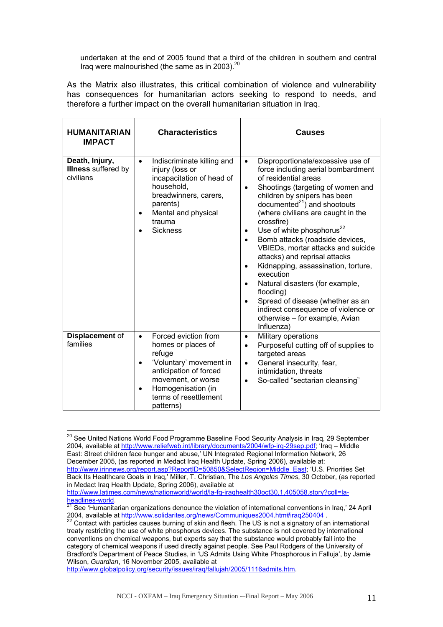undertaken at the end of 2005 found that a third of the children in southern and central Iraq were malnourished (the same as in [20](#page-11-0)03).<sup>20</sup>

As the Matrix also illustrates, this critical combination of violence and vulnerability has consequences for humanitarian actors seeking to respond to needs, and therefore a further impact on the overall humanitarian situation in Iraq.

| <b>HUMANITARIAN</b><br><b>IMPACT</b>                      | <b>Characteristics</b>                                                                                                                                                                                                             | <b>Causes</b>                                                                                                                                                                                                                                                                                                                                                                                                                                                                                                                                                                                                                                                                                  |
|-----------------------------------------------------------|------------------------------------------------------------------------------------------------------------------------------------------------------------------------------------------------------------------------------------|------------------------------------------------------------------------------------------------------------------------------------------------------------------------------------------------------------------------------------------------------------------------------------------------------------------------------------------------------------------------------------------------------------------------------------------------------------------------------------------------------------------------------------------------------------------------------------------------------------------------------------------------------------------------------------------------|
| Death, Injury,<br><b>Illness</b> suffered by<br>civilians | Indiscriminate killing and<br>$\bullet$<br>injury (loss or<br>incapacitation of head of<br>household,<br>breadwinners, carers,<br>parents)<br>Mental and physical<br>$\bullet$<br>trauma<br><b>Sickness</b>                        | Disproportionate/excessive use of<br>$\bullet$<br>force including aerial bombardment<br>of residential areas<br>Shootings (targeting of women and<br>$\bullet$<br>children by snipers has been<br>documented $^{21}$ ) and shootouts<br>(where civilians are caught in the<br>crossfire)<br>Use of white phosphorus $^{22}$<br>$\bullet$<br>Bomb attacks (roadside devices,<br>VBIEDs, mortar attacks and suicide<br>attacks) and reprisal attacks<br>Kidnapping, assassination, torture,<br>$\bullet$<br>execution<br>Natural disasters (for example,<br>flooding)<br>Spread of disease (whether as an<br>indirect consequence of violence or<br>otherwise - for example, Avian<br>Influenza) |
| Displacement of<br>families                               | Forced eviction from<br>$\bullet$<br>homes or places of<br>refuge<br>'Voluntary' movement in<br>$\bullet$<br>anticipation of forced<br>movement, or worse<br>Homogenisation (in<br>$\bullet$<br>terms of resettlement<br>patterns) | Military operations<br>$\bullet$<br>Purposeful cutting off of supplies to<br>$\bullet$<br>targeted areas<br>General insecurity, fear,<br>$\bullet$<br>intimidation, threats<br>So-called "sectarian cleansing"<br>$\bullet$                                                                                                                                                                                                                                                                                                                                                                                                                                                                    |

<span id="page-11-0"></span> $\overline{a}$ <sup>20</sup> See United Nations World Food Programme Baseline Food Security Analysis in Iraq, 29 September 2004, available at [http://www.reliefweb.int/library/documents/2004/wfp-irq-29sep.pdf;](http://www.reliefweb.int/library/documents/2004/wfp-irq-29sep.pdf) 'Iraq – Middle East: Street children face hunger and abuse,' UN Integrated Regional Information Network, 26 December 2005, (as reported in Medact Iraq Health Update, Spring 2006), available at: [http://www.irinnews.org/report.asp?ReportID=50850&SelectRegion=Middle\\_East;](http://www.irinnews.org/report.asp?ReportID=50850&SelectRegion=Middle_East) 'U.S. Priorities Set Back Its Healthcare Goals in Iraq,' Miller, T. Christian, The *Los Angeles Times*, 30 October, (as reported in Medact Iraq Health Update, Spring 2006), available at

<http://www.globalpolicy.org/security/issues/iraq/fallujah/2005/1116admits.htm>.

[http://www.latimes.com/news/nationworld/world/la-fg-iraqhealth30oct30,1,405058.story?coll=la-](http://www.latimes.com/news/nationworld/world/la-fg-iraqhealth30oct30,1,405058.story?coll=la-headlines-world)

<span id="page-11-1"></span>[headlines-world](http://www.latimes.com/news/nationworld/world/la-fg-iraqhealth30oct30,1,405058.story?coll=la-headlines-world).<br>
<sup>21</sup> See 'Humanitarian organizations denounce the violation of international conventions in Iraq,' 24 April 2004, available at http://www.solidarites.org/news/Communiques2004.htm#iraq250404 .<br><sup>22</sup> Contact with particles causes burning of skin and flesh. The US is not a signatory of an international

<span id="page-11-2"></span>treaty restricting the use of white phosphorus devices. The substance is not covered by international conventions on chemical weapons, but experts say that the substance would probably fall into the category of chemical weapons if used directly against people. See Paul Rodgers of the University of Bradford's Department of Peace Studies, in 'US Admits Using White Phosphorous in Falluja', by Jamie Wilson, *Guardian*, 16 November 2005, available at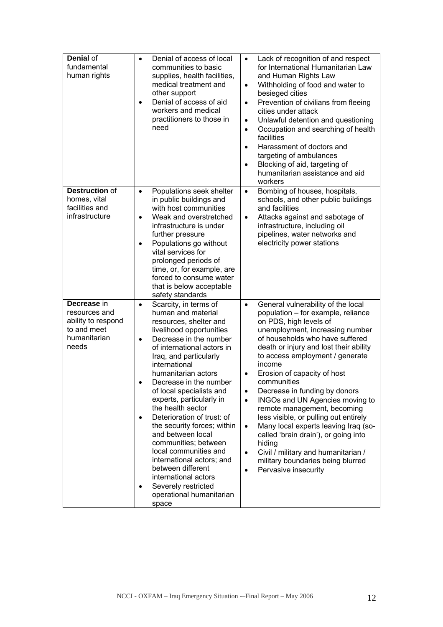| Denial of<br>fundamental<br>human rights                                                   | Denial of access of local<br>$\bullet$<br>communities to basic<br>supplies, health facilities,<br>medical treatment and<br>other support<br>Denial of access of aid<br>$\bullet$<br>workers and medical<br>practitioners to those in<br>need                                                                                                                                                                                                                                                                                                                                                                                                                    | Lack of recognition of and respect<br>$\bullet$<br>for International Humanitarian Law<br>and Human Rights Law<br>Withholding of food and water to<br>$\bullet$<br>besieged cities<br>Prevention of civilians from fleeing<br>$\bullet$<br>cities under attack<br>Unlawful detention and questioning<br>$\bullet$<br>Occupation and searching of health<br>$\bullet$<br>facilities<br>Harassment of doctors and<br>$\bullet$<br>targeting of ambulances<br>Blocking of aid, targeting of<br>$\bullet$<br>humanitarian assistance and aid<br>workers                                                                                                                                                                                    |
|--------------------------------------------------------------------------------------------|-----------------------------------------------------------------------------------------------------------------------------------------------------------------------------------------------------------------------------------------------------------------------------------------------------------------------------------------------------------------------------------------------------------------------------------------------------------------------------------------------------------------------------------------------------------------------------------------------------------------------------------------------------------------|---------------------------------------------------------------------------------------------------------------------------------------------------------------------------------------------------------------------------------------------------------------------------------------------------------------------------------------------------------------------------------------------------------------------------------------------------------------------------------------------------------------------------------------------------------------------------------------------------------------------------------------------------------------------------------------------------------------------------------------|
| Destruction of<br>homes, vital<br>facilities and<br>infrastructure                         | Populations seek shelter<br>$\bullet$<br>in public buildings and<br>with host communities<br>Weak and overstretched<br>$\bullet$<br>infrastructure is under<br>further pressure<br>Populations go without<br>$\bullet$<br>vital services for<br>prolonged periods of<br>time, or, for example, are<br>forced to consume water<br>that is below acceptable<br>safety standards                                                                                                                                                                                                                                                                                   | Bombing of houses, hospitals,<br>$\bullet$<br>schools, and other public buildings<br>and facilities<br>Attacks against and sabotage of<br>$\bullet$<br>infrastructure, including oil<br>pipelines, water networks and<br>electricity power stations                                                                                                                                                                                                                                                                                                                                                                                                                                                                                   |
| Decrease in<br>resources and<br>ability to respond<br>to and meet<br>humanitarian<br>needs | Scarcity, in terms of<br>$\bullet$<br>human and material<br>resources, shelter and<br>livelihood opportunities<br>Decrease in the number<br>$\bullet$<br>of international actors in<br>Iraq, and particularly<br>international<br>humanitarian actors<br>Decrease in the number<br>of local specialists and<br>experts, particularly in<br>the health sector<br>Deterioration of trust: of<br>$\bullet$<br>the security forces; within<br>and between local<br>communities; between<br>local communities and<br>international actors; and<br>between different<br>international actors<br>Severely restricted<br>$\bullet$<br>operational humanitarian<br>space | General vulnerability of the local<br>$\bullet$<br>population - for example, reliance<br>on PDS, high levels of<br>unemployment, increasing number<br>of households who have suffered<br>death or injury and lost their ability<br>to access employment / generate<br>income<br>Erosion of capacity of host<br>communities<br>Decrease in funding by donors<br>$\bullet$<br>INGOs and UN Agencies moving to<br>$\bullet$<br>remote management, becoming<br>less visible, or pulling out entirely<br>Many local experts leaving Iraq (so-<br>$\bullet$<br>called 'brain drain'), or going into<br>hiding<br>Civil / military and humanitarian /<br>$\bullet$<br>military boundaries being blurred<br>Pervasive insecurity<br>$\bullet$ |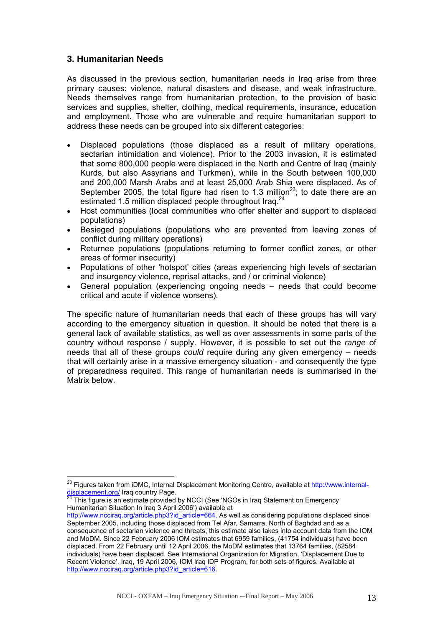#### <span id="page-13-0"></span>**3. Humanitarian Needs**

 $\overline{a}$ 

As discussed in the previous section, humanitarian needs in Iraq arise from three primary causes: violence, natural disasters and disease, and weak infrastructure. Needs themselves range from humanitarian protection, to the provision of basic services and supplies, shelter, clothing, medical requirements, insurance, education and employment. Those who are vulnerable and require humanitarian support to address these needs can be grouped into six different categories:

- Displaced populations (those displaced as a result of military operations, sectarian intimidation and violence). Prior to the 2003 invasion, it is estimated that some 800,000 people were displaced in the North and Centre of Iraq (mainly Kurds, but also Assyrians and Turkmen), while in the South between 100,000 and 200,000 Marsh Arabs and at least 25,000 Arab Shia were displaced. As of September 2005, the total figure had risen to 1.3 million<sup>23</sup>; to date there are an estimated 1.5 million displaced people throughout Iraq.<sup>[24](#page-13-2)</sup>
- Host communities (local communities who offer shelter and support to displaced populations)
- Besieged populations (populations who are prevented from leaving zones of conflict during military operations)
- Returnee populations (populations returning to former conflict zones, or other areas of former insecurity)
- Populations of other 'hotspot' cities (areas experiencing high levels of sectarian and insurgency violence, reprisal attacks, and / or criminal violence)
- General population (experiencing ongoing needs needs that could become critical and acute if violence worsens).

The specific nature of humanitarian needs that each of these groups has will vary according to the emergency situation in question. It should be noted that there is a general lack of available statistics, as well as over assessments in some parts of the country without response / supply. However, it is possible to set out the *range* of needs that all of these groups *could* require during any given emergency – needs that will certainly arise in a massive emergency situation - and consequently the type of preparedness required. This range of humanitarian needs is summarised in the Matrix below.

<span id="page-13-1"></span><sup>&</sup>lt;sup>23</sup> Figures taken from iDMC, Internal Displacement Monitoring Centre, available at <u>http://www.internal-</u> displacement.org/ Iraq country Page.<br><sup>[24](http://www.internal-displacement.org/)</sup> This figure is an estimate provided by NCCI (See 'NGOs in Iraq Statement on Emergency

<span id="page-13-2"></span>Humanitarian Situation In Iraq 3 April 2006') available at

[http://www.ncciraq.org/article.php3?id\\_article=664](http://www.ncciraq.org/article.php3?id_article=664). As well as considering populations displaced since September 2005, including those displaced from Tel Afar, Samarra, North of Baghdad and as a consequence of sectarian violence and threats, this estimate also takes into account data from the IOM and MoDM. Since 22 February 2006 IOM estimates that 6959 families, (41754 individuals) have been displaced. From 22 February until 12 April 2006, the MoDM estimates that 13764 families, (82584 individuals) have been displaced. See International Organization for Migration, 'Displacement Due to Recent Violence', Iraq, 19 April 2006, IOM Iraq IDP Program, for both sets of figures. Available at [http://www.ncciraq.org/article.php3?id\\_article=616](http://www.ncciraq.org/article.php3?id_article=616).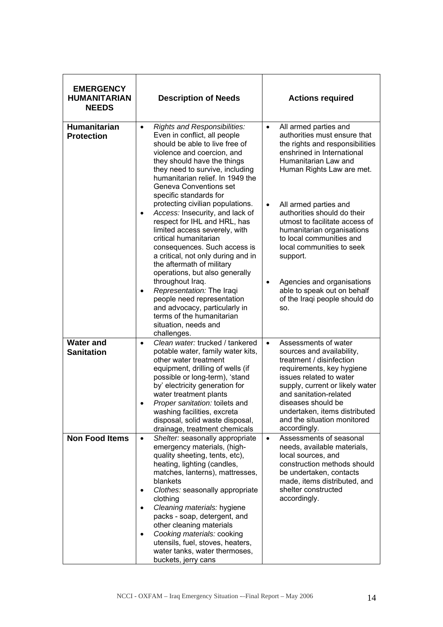| <b>EMERGENCY</b><br><b>HUMANITARIAN</b><br><b>NEEDS</b> | <b>Description of Needs</b>                                                                                                                                                                                                                                                                                                                                                                                                                                                                                                                                                                                                                                                                                                                                                                                             | <b>Actions required</b>                                                                                                                                                                                                                                                                                                                                                                                                                                                                                              |
|---------------------------------------------------------|-------------------------------------------------------------------------------------------------------------------------------------------------------------------------------------------------------------------------------------------------------------------------------------------------------------------------------------------------------------------------------------------------------------------------------------------------------------------------------------------------------------------------------------------------------------------------------------------------------------------------------------------------------------------------------------------------------------------------------------------------------------------------------------------------------------------------|----------------------------------------------------------------------------------------------------------------------------------------------------------------------------------------------------------------------------------------------------------------------------------------------------------------------------------------------------------------------------------------------------------------------------------------------------------------------------------------------------------------------|
| <b>Humanitarian</b><br><b>Protection</b>                | Rights and Responsibilities:<br>$\bullet$<br>Even in conflict, all people<br>should be able to live free of<br>violence and coercion, and<br>they should have the things<br>they need to survive, including<br>humanitarian relief. In 1949 the<br>Geneva Conventions set<br>specific standards for<br>protecting civilian populations.<br>Access: Insecurity, and lack of<br>$\bullet$<br>respect for IHL and HRL, has<br>limited access severely, with<br>critical humanitarian<br>consequences. Such access is<br>a critical, not only during and in<br>the aftermath of military<br>operations, but also generally<br>throughout Iraq.<br>Representation: The Iraqi<br>$\bullet$<br>people need representation<br>and advocacy, particularly in<br>terms of the humanitarian<br>situation, needs and<br>challenges. | All armed parties and<br>$\bullet$<br>authorities must ensure that<br>the rights and responsibilities<br>enshrined in International<br>Humanitarian Law and<br>Human Rights Law are met.<br>All armed parties and<br>$\bullet$<br>authorities should do their<br>utmost to facilitate access of<br>humanitarian organisations<br>to local communities and<br>local communities to seek<br>support.<br>Agencies and organisations<br>$\bullet$<br>able to speak out on behalf<br>of the Iraqi people should do<br>SO. |
| <b>Water and</b><br><b>Sanitation</b>                   | Clean water: trucked / tankered<br>$\bullet$<br>potable water, family water kits,<br>other water treatment<br>equipment, drilling of wells (if<br>possible or long-term), 'stand<br>by' electricity generation for<br>water treatment plants<br>Proper sanitation: toilets and<br>washing facilities, excreta<br>disposal, solid waste disposal,<br>drainage, treatment chemicals                                                                                                                                                                                                                                                                                                                                                                                                                                       | Assessments of water<br>$\bullet$<br>sources and availability,<br>treatment / disinfection<br>requirements, key hygiene<br>issues related to water<br>supply, current or likely water<br>and sanitation-related<br>diseases should be<br>undertaken, items distributed<br>and the situation monitored<br>accordingly.                                                                                                                                                                                                |
| <b>Non Food Items</b>                                   | Shelter: seasonally appropriate<br>$\bullet$<br>emergency materials, (high-<br>quality sheeting, tents, etc),<br>heating, lighting (candles,<br>matches, lanterns), mattresses,<br>blankets<br>Clothes: seasonally appropriate<br>clothing<br>Cleaning materials: hygiene<br>$\bullet$<br>packs - soap, detergent, and<br>other cleaning materials<br>Cooking materials: cooking<br>$\bullet$<br>utensils, fuel, stoves, heaters,<br>water tanks, water thermoses,<br>buckets, jerry cans                                                                                                                                                                                                                                                                                                                               | Assessments of seasonal<br>$\bullet$<br>needs, available materials,<br>local sources, and<br>construction methods should<br>be undertaken, contacts<br>made, items distributed, and<br>shelter constructed<br>accordingly.                                                                                                                                                                                                                                                                                           |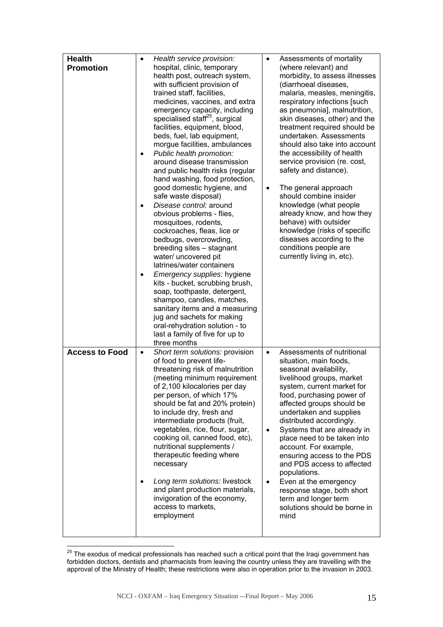| <b>Health</b><br><b>Promotion</b> | $\bullet$           | Health service provision:<br>hospital, clinic, temporary<br>health post, outreach system,<br>with sufficient provision of<br>trained staff, facilities,<br>medicines, vaccines, and extra<br>emergency capacity, including<br>specialised staff <sup>25</sup> , surgical<br>facilities, equipment, blood,                                                                                                                                                                                                                                                                                                                                                                                                                                                          | $\bullet$                           | Assessments of mortality<br>(where relevant) and<br>morbidity, to assess illnesses<br>(diarrhoeal diseases,<br>malaria, measles, meningitis,<br>respiratory infections [such<br>as pneumonia], malnutrition,<br>skin diseases, other) and the<br>treatment required should be                                                                                                                                                                                                                                                                        |
|-----------------------------------|---------------------|--------------------------------------------------------------------------------------------------------------------------------------------------------------------------------------------------------------------------------------------------------------------------------------------------------------------------------------------------------------------------------------------------------------------------------------------------------------------------------------------------------------------------------------------------------------------------------------------------------------------------------------------------------------------------------------------------------------------------------------------------------------------|-------------------------------------|------------------------------------------------------------------------------------------------------------------------------------------------------------------------------------------------------------------------------------------------------------------------------------------------------------------------------------------------------------------------------------------------------------------------------------------------------------------------------------------------------------------------------------------------------|
|                                   | ٠<br>$\bullet$<br>٠ | beds, fuel, lab equipment,<br>morgue facilities, ambulances<br>Public health promotion:<br>around disease transmission<br>and public health risks (regular<br>hand washing, food protection,<br>good domestic hygiene, and<br>safe waste disposal)<br>Disease control: around<br>obvious problems - flies,<br>mosquitoes, rodents,<br>cockroaches, fleas, lice or<br>bedbugs, overcrowding,<br>breeding sites - stagnant<br>water/ uncovered pit<br>latrines/water containers<br>Emergency supplies: hygiene<br>kits - bucket, scrubbing brush,<br>soap, toothpaste, detergent,<br>shampoo, candles, matches,<br>sanitary items and a measuring<br>jug and sachets for making<br>oral-rehydration solution - to<br>last a family of five for up to<br>three months | $\bullet$                           | undertaken. Assessments<br>should also take into account<br>the accessibility of health<br>service provision (re. cost,<br>safety and distance).<br>The general approach<br>should combine insider<br>knowledge (what people<br>already know, and how they<br>behave) with outsider<br>knowledge (risks of specific<br>diseases according to the<br>conditions people are<br>currently living in, etc).                                                                                                                                              |
| <b>Access to Food</b>             | $\bullet$           | Short term solutions: provision<br>of food to prevent life-<br>threatening risk of malnutrition<br>(meeting minimum requirement<br>of 2,100 kilocalories per day<br>per person, of which 17%<br>should be fat and 20% protein)<br>to include dry, fresh and<br>intermediate products (fruit,<br>vegetables, rice, flour, sugar,<br>cooking oil, canned food, etc),<br>nutritional supplements /<br>therapeutic feeding where<br>necessary<br>Long term solutions: livestock<br>and plant production materials,<br>invigoration of the economy,<br>access to markets,<br>employment                                                                                                                                                                                 | $\bullet$<br>$\bullet$<br>$\bullet$ | Assessments of nutritional<br>situation, main foods,<br>seasonal availability,<br>livelihood groups, market<br>system, current market for<br>food, purchasing power of<br>affected groups should be<br>undertaken and supplies<br>distributed accordingly.<br>Systems that are already in<br>place need to be taken into<br>account. For example,<br>ensuring access to the PDS<br>and PDS access to affected<br>populations.<br>Even at the emergency<br>response stage, both short<br>term and longer term<br>solutions should be borne in<br>mind |

<span id="page-15-0"></span> $\overline{a}$  $^{25}$  The exodus of medical professionals has reached such a critical point that the Iraqi government has forbidden doctors, dentists and pharmacists from leaving the country unless they are travelling with the approval of the Ministry of Health; these restrictions were also in operation prior to the invasion in 2003.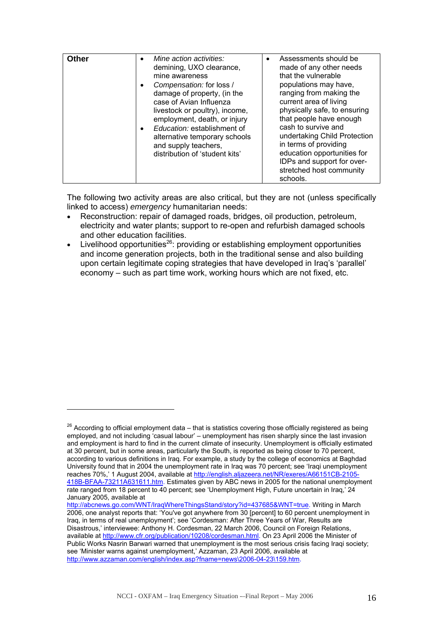| Other | Mine action activities:<br>demining, UXO clearance,<br>mine awareness<br>Compensation: for loss /<br>damage of property, (in the<br>case of Avian Influenza<br>livestock or poultry), income,<br>employment, death, or injury<br>Education: establishment of<br>alternative temporary schools<br>and supply teachers,<br>distribution of 'student kits' | Assessments should be<br>made of any other needs<br>that the vulnerable<br>populations may have,<br>ranging from making the<br>current area of living<br>physically safe, to ensuring<br>that people have enough<br>cash to survive and<br>undertaking Child Protection<br>in terms of providing<br>education opportunities for<br>IDPs and support for over-<br>stretched host community<br>schools. |
|-------|---------------------------------------------------------------------------------------------------------------------------------------------------------------------------------------------------------------------------------------------------------------------------------------------------------------------------------------------------------|-------------------------------------------------------------------------------------------------------------------------------------------------------------------------------------------------------------------------------------------------------------------------------------------------------------------------------------------------------------------------------------------------------|
|-------|---------------------------------------------------------------------------------------------------------------------------------------------------------------------------------------------------------------------------------------------------------------------------------------------------------------------------------------------------------|-------------------------------------------------------------------------------------------------------------------------------------------------------------------------------------------------------------------------------------------------------------------------------------------------------------------------------------------------------------------------------------------------------|

The following two activity areas are also critical, but they are not (unless specifically linked to access) *emergency* humanitarian needs:

- Reconstruction: repair of damaged roads, bridges, oil production, petroleum, electricity and water plants; support to re-open and refurbish damaged schools and other education facilities.
- Livelihood opportunities<sup>26</sup>: providing or establishing employment opportunities and income generation projects, both in the traditional sense and also building upon certain legitimate coping strategies that have developed in Iraq's 'parallel' economy – such as part time work, working hours which are not fixed, etc.

 $\overline{a}$ 

<span id="page-16-0"></span> $26$  According to official employment data – that is statistics covering those officially registered as being employed, and not including 'casual labour' – unemployment has risen sharply since the last invasion and employment is hard to find in the current climate of insecurity. Unemployment is officially estimated at 30 percent, but in some areas, particularly the South, is reported as being closer to 70 percent, according to various definitions in Iraq. For example, a study by the college of economics at Baghdad University found that in 2004 the unemployment rate in Iraq was 70 percent; see 'Iraqi unemployment reaches 70%,' 1 August 2004, available at [http://english.aljazeera.net/NR/exeres/A66151CB-2105-](http://english.aljazeera.net/NR/exeres/A66151CB-2105-418B-BFAA-73211A631611.htm) [418B-BFAA-73211A631611.htm](http://english.aljazeera.net/NR/exeres/A66151CB-2105-418B-BFAA-73211A631611.htm). Estimates given by ABC news in 2005 for the national unemployment rate ranged from 18 percent to 40 percent; see 'Unemployment High, Future uncertain in Iraq,' 24 January 2005, available at

[http://abcnews.go.com/WNT/IraqWhereThingsStand/story?id=437685&WNT=true.](http://abcnews.go.com/WNT/IraqWhereThingsStand/story?id=437685&WNT=true) Writing in March 2006, one analyst reports that: 'You've got anywhere from 30 [percent] to 60 percent unemployment in Iraq, in terms of real unemployment'; see 'Cordesman: After Three Years of War, Results are Disastrous,' interviewee: Anthony H. Cordesman, 22 March 2006, Council on Foreign Relations, available at [http://www.cfr.org/publication/10208/cordesman.html.](http://www.cfr.org/publication/10208/cordesman.html) On 23 April 2006 the Minister of Public Works Nasrin Barwari warned that unemployment is the most serious crisis facing Iraqi society; see 'Minister warns against unemployment,' Azzaman, 23 April 2006, available at <http://www.azzaman.com/english/index.asp?fname=news\2006-04-23\159.htm>.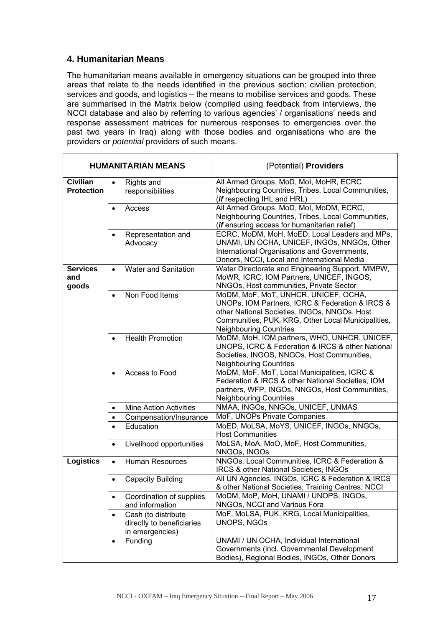#### <span id="page-17-0"></span>**4. Humanitarian Means**

The humanitarian means available in emergency situations can be grouped into three areas that relate to the needs identified in the previous section: civilian protection, services and goods, and logistics – the means to mobilise services and goods. These are summarised in the Matrix below (compiled using feedback from interviews, the NCCI database and also by referring to various agencies' / organisations' needs and response assessment matrices for numerous responses to emergencies over the past two years in Iraq) along with those bodies and organisations who are the providers or *potential* providers of such means.

|                                      |           | <b>HUMANITARIAN MEANS</b>                                           | (Potential) Providers                                                                                                                                                                                                          |
|--------------------------------------|-----------|---------------------------------------------------------------------|--------------------------------------------------------------------------------------------------------------------------------------------------------------------------------------------------------------------------------|
| <b>Civilian</b><br><b>Protection</b> | $\bullet$ | Rights and<br>responsibilities                                      | All Armed Groups, MoD, MoI, MoHR, ECRC<br>Neighbouring Countries, Tribes, Local Communities,<br>(if respecting IHL and HRL)                                                                                                    |
|                                      | $\bullet$ | Access                                                              | All Armed Groups, MoD, MoI, MoDM, ECRC,<br>Neighbouring Countries, Tribes, Local Communities,<br>(if ensuring access for humanitarian relief)                                                                                  |
|                                      |           | Representation and<br>Advocacy                                      | ECRC, MoDM, MoH, MoED, Local Leaders and MPs,<br>UNAMI, UN OCHA, UNICEF, INGOs, NNGOs, Other<br>International Organisations and Governments,<br>Donors, NCCI, Local and International Media                                    |
| <b>Services</b><br>and<br>goods      | $\bullet$ | Water and Sanitation                                                | Water Directorate and Engineering Support, MMPW,<br>MoWR, ICRC, IOM Partners, UNICEF, INGOS,<br>NNGOs, Host communities, Private Sector                                                                                        |
|                                      | $\bullet$ | Non Food Items                                                      | MoDM, MoF, MoT, UNHCR, UNICEF, OCHA,<br>UNOPs, IOM Partners, ICRC & Federation & IRCS &<br>other National Societies, INGOs, NNGOs, Host<br>Communities, PUK, KRG, Other Local Municipalities,<br><b>Neighbouring Countries</b> |
|                                      | $\bullet$ | <b>Health Promotion</b>                                             | MoDM, MoH, IOM partners, WHO, UNHCR, UNICEF,<br>UNOPS, ICRC & Federation & IRCS & other National<br>Societies, INGOS, NNGOs, Host Communities,<br><b>Neighbouring Countries</b>                                                |
|                                      |           | Access to Food                                                      | MoDM, MoF, MoT, Local Municipalities, ICRC &<br>Federation & IRCS & other National Societies, IOM<br>partners, WFP, INGOs, NNGOs, Host Communities,<br><b>Neighbouring Countries</b>                                           |
|                                      |           | <b>Mine Action Activities</b>                                       | NMAA, INGOs, NNGOs, UNICEF, UNMAS                                                                                                                                                                                              |
|                                      | $\bullet$ | Compensation/Insurance                                              | MoF, UNOPs Private Companies                                                                                                                                                                                                   |
|                                      |           | Education                                                           | MoED, MoLSA, MoYS, UNICEF, INGOs, NNGOs,<br><b>Host Communities</b>                                                                                                                                                            |
|                                      | $\bullet$ | Livelihood opportunities                                            | MoLSA, MoA, MoO, MoF, Host Communities,<br>NNGOs, INGOs                                                                                                                                                                        |
| <b>Logistics</b>                     | $\bullet$ | <b>Human Resources</b>                                              | NNGOs, Local Communities, ICRC & Federation &<br>IRCS & other National Societies, INGOs                                                                                                                                        |
|                                      | $\bullet$ | <b>Capacity Building</b>                                            | All UN Agencies, INGOs, ICRC & Federation & IRCS<br>& other National Societies, Training Centres, NCCI                                                                                                                         |
|                                      | $\bullet$ | Coordination of supplies<br>and information                         | MoDM, MoP, MoH, UNAMI / UNOPS, INGOs,<br>NNGOs, NCCI and Various Fora                                                                                                                                                          |
|                                      | $\bullet$ | Cash (to distribute<br>directly to beneficiaries<br>in emergencies) | MoF, MoLSA, PUK, KRG, Local Municipalities,<br><b>UNOPS, NGOs</b>                                                                                                                                                              |
|                                      | $\bullet$ | Funding                                                             | UNAMI / UN OCHA, Individual International<br>Governments (incl. Governmental Development<br>Bodies), Regional Bodies, INGOs, Other Donors                                                                                      |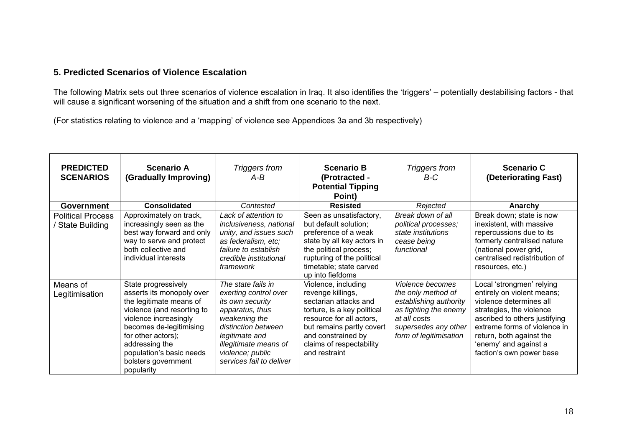#### **5. Predicted Scenarios of Violence Escalation**

The following Matrix sets out three scenarios of violence escalation in Iraq. It also identifies the 'triggers' – potentially destabilising factors - that will cause a significant worsening of the situation and a shift from one scenario to the next.

(For statistics relating to violence and a 'mapping' of violence see Appendices 3a and 3b respectively)

<span id="page-18-0"></span>

| <b>PREDICTED</b><br><b>SCENARIOS</b>       | <b>Scenario A</b><br>(Gradually Improving)                                                                                                                                                                                                                             | Triggers from<br>$A-B$                                                                                                                                                                                                | <b>Scenario B</b><br>(Protracted -<br><b>Potential Tipping</b><br>Point)                                                                                                                                                     | Triggers from<br>B-C                                                                                                                                        | <b>Scenario C</b><br>(Deteriorating Fast)                                                                                                                                                                                                                        |
|--------------------------------------------|------------------------------------------------------------------------------------------------------------------------------------------------------------------------------------------------------------------------------------------------------------------------|-----------------------------------------------------------------------------------------------------------------------------------------------------------------------------------------------------------------------|------------------------------------------------------------------------------------------------------------------------------------------------------------------------------------------------------------------------------|-------------------------------------------------------------------------------------------------------------------------------------------------------------|------------------------------------------------------------------------------------------------------------------------------------------------------------------------------------------------------------------------------------------------------------------|
| <b>Government</b>                          | <b>Consolidated</b>                                                                                                                                                                                                                                                    | Contested                                                                                                                                                                                                             | <b>Resisted</b>                                                                                                                                                                                                              | Rejected                                                                                                                                                    | Anarchy                                                                                                                                                                                                                                                          |
| <b>Political Process</b><br>State Building | Approximately on track,<br>increasingly seen as the<br>best way forward and only<br>way to serve and protect<br>both collective and<br>individual interests                                                                                                            | Lack of attention to<br>inclusiveness, national<br>unity, and issues such<br>as federalism, etc;<br>failure to establish<br>credible institutional<br>framework                                                       | Seen as unsatisfactory,<br>but default solution;<br>preference of a weak<br>state by all key actors in<br>the political process;<br>rupturing of the political<br>timetable; state carved<br>up into fiefdoms                | Break down of all<br>political processes;<br>state institutions<br>cease being<br>functional                                                                | Break down; state is now<br>inexistent, with massive<br>repercussions due to its<br>formerly centralised nature<br>(national power grid,<br>centralised redistribution of<br>resources, etc.)                                                                    |
| Means of<br>Legitimisation                 | State progressively<br>asserts its monopoly over<br>the legitimate means of<br>violence (and resorting to<br>violence increasingly<br>becomes de-legitimising<br>for other actors);<br>addressing the<br>population's basic needs<br>bolsters government<br>popularity | The state fails in<br>exerting control over<br>its own security<br>apparatus, thus<br>weakening the<br>distinction between<br>legitimate and<br>illegitimate means of<br>violence; public<br>services fail to deliver | Violence, including<br>revenge killings,<br>sectarian attacks and<br>torture, is a key political<br>resource for all actors,<br>but remains partly covert<br>and constrained by<br>claims of respectability<br>and restraint | Violence becomes<br>the only method of<br>establishing authority<br>as fighting the enemy<br>at all costs<br>supersedes any other<br>form of legitimisation | Local 'strongmen' relying<br>entirely on violent means;<br>violence determines all<br>strategies, the violence<br>ascribed to others justifying<br>extreme forms of violence in<br>return, both against the<br>'enemy' and against a<br>faction's own power base |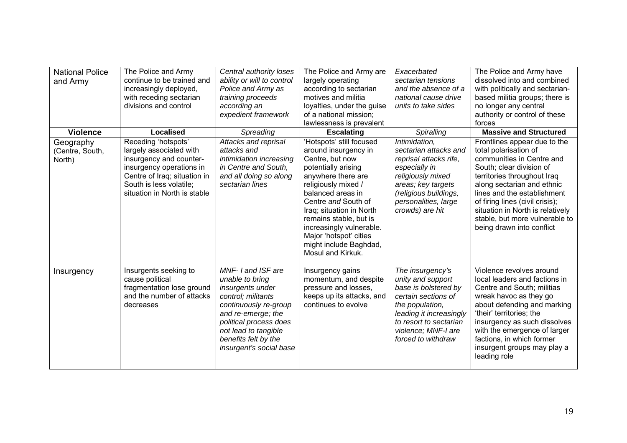| <b>National Police</b><br>and Army     | The Police and Army<br>continue to be trained and<br>increasingly deployed,<br>with receding sectarian<br>divisions and control                                                                  | Central authority loses<br>ability or will to control<br>Police and Army as<br>training proceeds<br>according an<br>expedient framework                                                                                            | The Police and Army are<br>largely operating<br>according to sectarian<br>motives and militia<br>loyalties, under the guise<br>of a national mission;<br>lawlessness is prevalent                                                                                                                                                              | Exacerbated<br>sectarian tensions<br>and the absence of a<br>national cause drive<br>units to take sides                                                                                                  | The Police and Army have<br>dissolved into and combined<br>with politically and sectarian-<br>based militia groups; there is<br>no longer any central<br>authority or control of these<br>forces                                                                                                                                                 |
|----------------------------------------|--------------------------------------------------------------------------------------------------------------------------------------------------------------------------------------------------|------------------------------------------------------------------------------------------------------------------------------------------------------------------------------------------------------------------------------------|------------------------------------------------------------------------------------------------------------------------------------------------------------------------------------------------------------------------------------------------------------------------------------------------------------------------------------------------|-----------------------------------------------------------------------------------------------------------------------------------------------------------------------------------------------------------|--------------------------------------------------------------------------------------------------------------------------------------------------------------------------------------------------------------------------------------------------------------------------------------------------------------------------------------------------|
| <b>Violence</b>                        | <b>Localised</b>                                                                                                                                                                                 | Spreading                                                                                                                                                                                                                          | <b>Escalating</b>                                                                                                                                                                                                                                                                                                                              | Spiralling                                                                                                                                                                                                | <b>Massive and Structured</b>                                                                                                                                                                                                                                                                                                                    |
| Geography<br>(Centre, South,<br>North) | Receding 'hotspots'<br>largely associated with<br>insurgency and counter-<br>insurgency operations in<br>Centre of Iraq; situation in<br>South is less volatile;<br>situation in North is stable | Attacks and reprisal<br>attacks and<br>intimidation increasing<br>in Centre and South,<br>and all doing so along<br>sectarian lines                                                                                                | 'Hotspots' still focused<br>around insurgency in<br>Centre, but now<br>potentially arising<br>anywhere there are<br>religiously mixed /<br>balanced areas in<br>Centre and South of<br>Iraq; situation in North<br>remains stable, but is<br>increasingly vulnerable.<br>Major 'hotspot' cities<br>might include Baghdad,<br>Mosul and Kirkuk. | Intimidation,<br>sectarian attacks and<br>reprisal attacks rife,<br>especially in<br>religiously mixed<br>areas; key targets<br>(religious buildings,<br>personalities, large<br>crowds) are hit          | Frontlines appear due to the<br>total polarisation of<br>communities in Centre and<br>South; clear division of<br>territories throughout Iraq<br>along sectarian and ethnic<br>lines and the establishment<br>of firing lines (civil crisis);<br>situation in North is relatively<br>stable, but more vulnerable to<br>being drawn into conflict |
| Insurgency                             | Insurgents seeking to<br>cause political<br>fragmentation lose ground<br>and the number of attacks<br>decreases                                                                                  | MNF-1 and ISF are<br>unable to bring<br>insurgents under<br>control; militants<br>continuously re-group<br>and re-emerge; the<br>political process does<br>not lead to tangible<br>benefits felt by the<br>insurgent's social base | Insurgency gains<br>momentum, and despite<br>pressure and losses,<br>keeps up its attacks, and<br>continues to evolve                                                                                                                                                                                                                          | The insurgency's<br>unity and support<br>base is bolstered by<br>certain sections of<br>the population,<br>leading it increasingly<br>to resort to sectarian<br>violence; MNF-I are<br>forced to withdraw | Violence revolves around<br>local leaders and factions in<br>Centre and South; militias<br>wreak havoc as they go<br>about defending and marking<br>'their' territories; the<br>insurgency as such dissolves<br>with the emergence of larger<br>factions, in which former<br>insurgent groups may play a<br>leading role                         |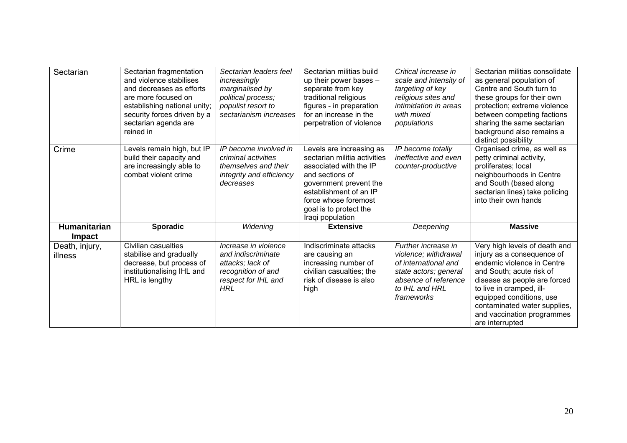| Sectarian                     | Sectarian fragmentation<br>and violence stabilises<br>and decreases as efforts<br>are more focused on<br>establishing national unity;<br>security forces driven by a<br>sectarian agenda are<br>reined in | Sectarian leaders feel<br>increasingly<br>marginalised by<br>political process;<br>populist resort to<br>sectarianism increases | Sectarian militias build<br>up their power bases -<br>separate from key<br>traditional religious<br>figures - in preparation<br>for an increase in the<br>perpetration of violence                                              | Critical increase in<br>scale and intensity of<br>targeting of key<br>religious sites and<br>intimidation in areas<br>with mixed<br>populations      | Sectarian militias consolidate<br>as general population of<br>Centre and South turn to<br>these groups for their own<br>protection; extreme violence<br>between competing factions<br>sharing the same sectarian<br>background also remains a<br>distinct possibility                          |
|-------------------------------|-----------------------------------------------------------------------------------------------------------------------------------------------------------------------------------------------------------|---------------------------------------------------------------------------------------------------------------------------------|---------------------------------------------------------------------------------------------------------------------------------------------------------------------------------------------------------------------------------|------------------------------------------------------------------------------------------------------------------------------------------------------|------------------------------------------------------------------------------------------------------------------------------------------------------------------------------------------------------------------------------------------------------------------------------------------------|
| Crime                         | Levels remain high, but IP<br>build their capacity and<br>are increasingly able to<br>combat violent crime                                                                                                | IP become involved in<br>criminal activities<br>themselves and their<br>integrity and efficiency<br>decreases                   | Levels are increasing as<br>sectarian militia activities<br>associated with the IP<br>and sections of<br>government prevent the<br>establishment of an IP<br>force whose foremost<br>goal is to protect the<br>Iraqi population | IP become totally<br>ineffective and even<br>counter-productive                                                                                      | Organised crime, as well as<br>petty criminal activity,<br>proliferates; local<br>neighbourhoods in Centre<br>and South (based along<br>sectarian lines) take policing<br>into their own hands                                                                                                 |
| Humanitarian<br><b>Impact</b> | <b>Sporadic</b>                                                                                                                                                                                           | Widening                                                                                                                        | <b>Extensive</b>                                                                                                                                                                                                                | Deepening                                                                                                                                            | <b>Massive</b>                                                                                                                                                                                                                                                                                 |
| Death, injury,<br>illness     | Civilian casualties<br>stabilise and gradually<br>decrease, but process of<br>institutionalising IHL and<br>HRL is lengthy                                                                                | Increase in violence<br>and indiscriminate<br>attacks; lack of<br>recognition of and<br>respect for IHL and<br><b>HRL</b>       | Indiscriminate attacks<br>are causing an<br>increasing number of<br>civilian casualties; the<br>risk of disease is also<br>high                                                                                                 | Further increase in<br>violence; withdrawal<br>of international and<br>state actors; general<br>absence of reference<br>to IHL and HRL<br>frameworks | Very high levels of death and<br>injury as a consequence of<br>endemic violence in Centre<br>and South; acute risk of<br>disease as people are forced<br>to live in cramped, ill-<br>equipped conditions, use<br>contaminated water supplies,<br>and vaccination programmes<br>are interrupted |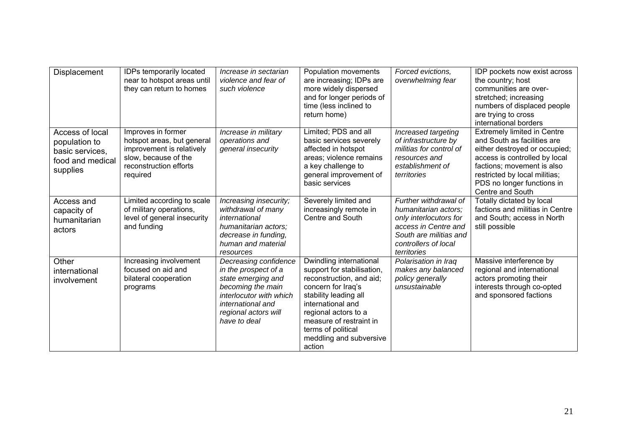| Displacement                                                                        | IDPs temporarily located<br>near to hotspot areas until<br>they can return to homes                                                         | Increase in sectarian<br>violence and fear of<br>such violence                                                                                                                   | Population movements<br>are increasing; IDPs are<br>more widely dispersed<br>and for longer periods of<br>time (less inclined to<br>return home)                                                                                                                    | Forced evictions.<br>overwhelming fear                                                                                                                           | IDP pockets now exist across<br>the country; host<br>communities are over-<br>stretched; increasing<br>numbers of displaced people<br>are trying to cross<br>international borders                                                                   |
|-------------------------------------------------------------------------------------|---------------------------------------------------------------------------------------------------------------------------------------------|----------------------------------------------------------------------------------------------------------------------------------------------------------------------------------|---------------------------------------------------------------------------------------------------------------------------------------------------------------------------------------------------------------------------------------------------------------------|------------------------------------------------------------------------------------------------------------------------------------------------------------------|------------------------------------------------------------------------------------------------------------------------------------------------------------------------------------------------------------------------------------------------------|
| Access of local<br>population to<br>basic services,<br>food and medical<br>supplies | Improves in former<br>hotspot areas, but general<br>improvement is relatively<br>slow, because of the<br>reconstruction efforts<br>required | Increase in military<br>operations and<br>general insecurity                                                                                                                     | Limited; PDS and all<br>basic services severely<br>affected in hotspot<br>areas; violence remains<br>a key challenge to<br>general improvement of<br>basic services                                                                                                 | Increased targeting<br>of infrastructure by<br>militias for control of<br>resources and<br>establishment of<br>territories                                       | <b>Extremely limited in Centre</b><br>and South as facilities are<br>either destroyed or occupied;<br>access is controlled by local<br>factions; movement is also<br>restricted by local militias;<br>PDS no longer functions in<br>Centre and South |
| Access and<br>capacity of<br>humanitarian<br>actors                                 | Limited according to scale<br>of military operations,<br>level of general insecurity<br>and funding                                         | Increasing insecurity;<br>withdrawal of many<br>international<br>humanitarian actors;<br>decrease in funding,<br>human and material<br>resources                                 | Severely limited and<br>increasingly remote in<br>Centre and South                                                                                                                                                                                                  | Further withdrawal of<br>humanitarian actors;<br>only interlocutors for<br>access in Centre and<br>South are militias and<br>controllers of local<br>territories | Totally dictated by local<br>factions and militias in Centre<br>and South; access in North<br>still possible                                                                                                                                         |
| Other<br>international<br>involvement                                               | Increasing involvement<br>focused on aid and<br>bilateral cooperation<br>programs                                                           | Decreasing confidence<br>in the prospect of a<br>state emerging and<br>becoming the main<br>interlocutor with which<br>international and<br>regional actors will<br>have to deal | Dwindling international<br>support for stabilisation,<br>reconstruction, and aid;<br>concern for Iraq's<br>stability leading all<br>international and<br>regional actors to a<br>measure of restraint in<br>terms of political<br>meddling and subversive<br>action | Polarisation in Iraq<br>makes any balanced<br>policy generally<br>unsustainable                                                                                  | Massive interference by<br>regional and international<br>actors promoting their<br>interests through co-opted<br>and sponsored factions                                                                                                              |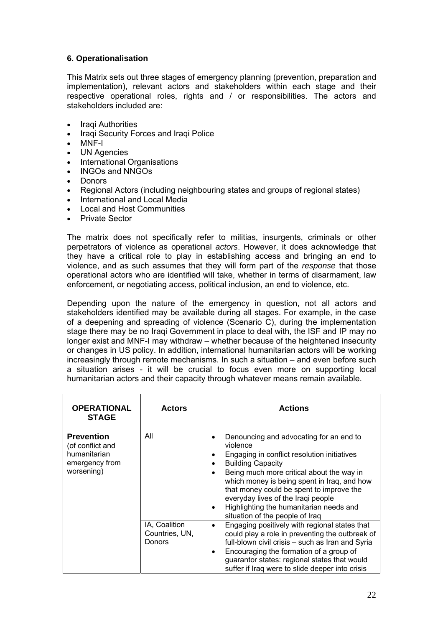#### **6. Operationalisation**

This Matrix sets out three stages of emergency planning (prevention, preparation and implementation), relevant actors and stakeholders within each stage and their respective operational roles, rights and / or responsibilities. The actors and stakeholders included are:

- Iraqi Authorities
- Iraqi Security Forces and Iraqi Police
- MNF-I
- UN Agencies
- International Organisations
- INGOs and NNGOs
- Donors
- Regional Actors (including neighbouring states and groups of regional states)
- International and Local Media
- Local and Host Communities
- Private Sector

The matrix does not specifically refer to militias, insurgents, criminals or other perpetrators of violence as operational *actors*. However, it does acknowledge that they have a critical role to play in establishing access and bringing an end to violence, and as such assumes that they will form part of the *response* that those operational actors who are identified will take, whether in terms of disarmament, law enforcement, or negotiating access, political inclusion, an end to violence, etc.

Depending upon the nature of the emergency in question, not all actors and stakeholders identified may be available during all stages. For example, in the case of a deepening and spreading of violence (Scenario C), during the implementation stage there may be no Iraqi Government in place to deal with, the ISF and IP may no longer exist and MNF-I may withdraw – whether because of the heightened insecurity or changes in US policy. In addition, international humanitarian actors will be working increasingly through remote mechanisms. In such a situation – and even before such a situation arises - it will be crucial to focus even more on supporting local humanitarian actors and their capacity through whatever means remain available.

| <b>OPERATIONAL</b><br><b>STAGE</b>                                                    | <b>Actors</b>                                    | <b>Actions</b>                                                                                                                                                                                                                                                                                                                                                                                                                      |
|---------------------------------------------------------------------------------------|--------------------------------------------------|-------------------------------------------------------------------------------------------------------------------------------------------------------------------------------------------------------------------------------------------------------------------------------------------------------------------------------------------------------------------------------------------------------------------------------------|
| <b>Prevention</b><br>(of conflict and<br>humanitarian<br>emergency from<br>worsening) | All                                              | Denouncing and advocating for an end to<br>٠<br>violence<br>Engaging in conflict resolution initiatives<br>٠<br><b>Building Capacity</b><br>٠<br>Being much more critical about the way in<br>$\bullet$<br>which money is being spent in Iraq, and how<br>that money could be spent to improve the<br>everyday lives of the Iraqi people<br>Highlighting the humanitarian needs and<br>$\bullet$<br>situation of the people of Iraq |
|                                                                                       | IA, Coalition<br>Countries, UN,<br><b>Donors</b> | Engaging positively with regional states that<br>$\bullet$<br>could play a role in preventing the outbreak of<br>full-blown civil crisis - such as Iran and Syria<br>Encouraging the formation of a group of<br>$\bullet$<br>guarantor states: regional states that would<br>suffer if Iraq were to slide deeper into crisis                                                                                                        |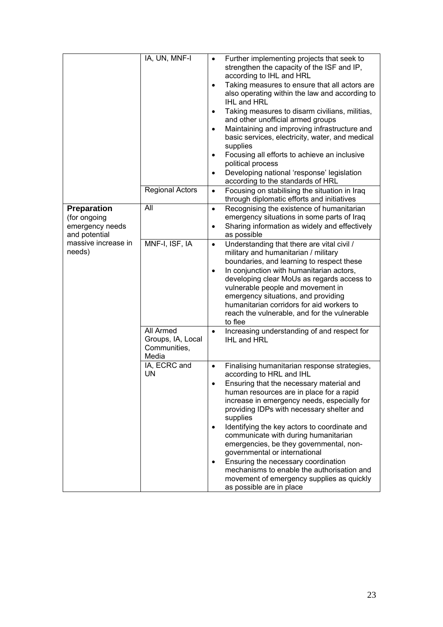| <b>Preparation</b>                               | IA, UN, MNF-I<br><b>Regional Actors</b><br>All          | Further implementing projects that seek to<br>$\bullet$<br>strengthen the capacity of the ISF and IP,<br>according to IHL and HRL<br>Taking measures to ensure that all actors are<br>$\bullet$<br>also operating within the law and according to<br>IHL and HRL<br>Taking measures to disarm civilians, militias,<br>$\bullet$<br>and other unofficial armed groups<br>Maintaining and improving infrastructure and<br>$\bullet$<br>basic services, electricity, water, and medical<br>supplies<br>Focusing all efforts to achieve an inclusive<br>$\bullet$<br>political process<br>Developing national 'response' legislation<br>$\bullet$<br>according to the standards of HRL<br>Focusing on stabilising the situation in Iraq<br>$\bullet$<br>through diplomatic efforts and initiatives<br>Recognising the existence of humanitarian<br>$\bullet$ |
|--------------------------------------------------|---------------------------------------------------------|----------------------------------------------------------------------------------------------------------------------------------------------------------------------------------------------------------------------------------------------------------------------------------------------------------------------------------------------------------------------------------------------------------------------------------------------------------------------------------------------------------------------------------------------------------------------------------------------------------------------------------------------------------------------------------------------------------------------------------------------------------------------------------------------------------------------------------------------------------|
| (for ongoing<br>emergency needs<br>and potential |                                                         | emergency situations in some parts of Iraq<br>Sharing information as widely and effectively<br>$\bullet$<br>as possible                                                                                                                                                                                                                                                                                                                                                                                                                                                                                                                                                                                                                                                                                                                                  |
| massive increase in<br>needs)                    | MNF-I, ISF, IA                                          | Understanding that there are vital civil /<br>$\bullet$<br>military and humanitarian / military<br>boundaries, and learning to respect these<br>In conjunction with humanitarian actors,<br>developing clear MoUs as regards access to<br>vulnerable people and movement in<br>emergency situations, and providing<br>humanitarian corridors for aid workers to<br>reach the vulnerable, and for the vulnerable<br>to flee                                                                                                                                                                                                                                                                                                                                                                                                                               |
|                                                  | All Armed<br>Groups, IA, Local<br>Communities,<br>Media | Increasing understanding of and respect for<br>$\bullet$<br><b>IHL and HRL</b>                                                                                                                                                                                                                                                                                                                                                                                                                                                                                                                                                                                                                                                                                                                                                                           |
|                                                  | IA, ECRC and<br><b>UN</b>                               | Finalising humanitarian response strategies,<br>$\bullet$<br>according to HRL and IHL<br>Ensuring that the necessary material and<br>human resources are in place for a rapid<br>increase in emergency needs, especially for<br>providing IDPs with necessary shelter and<br>supplies<br>Identifying the key actors to coordinate and<br>communicate with during humanitarian<br>emergencies, be they governmental, non-<br>governmental or international<br>Ensuring the necessary coordination<br>mechanisms to enable the authorisation and<br>movement of emergency supplies as quickly<br>as possible are in place                                                                                                                                                                                                                                  |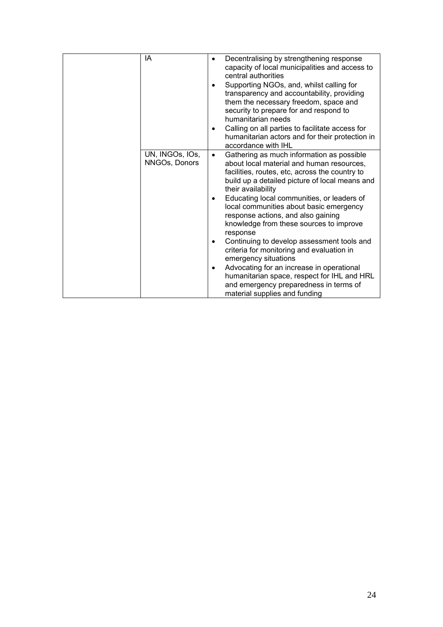| IA                               | Decentralising by strengthening response<br>$\bullet$<br>capacity of local municipalities and access to<br>central authorities                                                                                                                                                                                                                                                                                                   |
|----------------------------------|----------------------------------------------------------------------------------------------------------------------------------------------------------------------------------------------------------------------------------------------------------------------------------------------------------------------------------------------------------------------------------------------------------------------------------|
|                                  | Supporting NGOs, and, whilst calling for<br>$\bullet$<br>transparency and accountability, providing<br>them the necessary freedom, space and<br>security to prepare for and respond to<br>humanitarian needs                                                                                                                                                                                                                     |
|                                  | Calling on all parties to facilitate access for<br>$\bullet$<br>humanitarian actors and for their protection in<br>accordance with IHL                                                                                                                                                                                                                                                                                           |
| UN, INGOS, IOS,<br>NNGOs, Donors | Gathering as much information as possible<br>$\bullet$<br>about local material and human resources,<br>facilities, routes, etc, across the country to<br>build up a detailed picture of local means and<br>their availability<br>Educating local communities, or leaders of<br>$\bullet$<br>local communities about basic emergency<br>response actions, and also gaining<br>knowledge from these sources to improve<br>response |
|                                  | Continuing to develop assessment tools and<br>٠<br>criteria for monitoring and evaluation in<br>emergency situations                                                                                                                                                                                                                                                                                                             |
|                                  | Advocating for an increase in operational<br>$\bullet$<br>humanitarian space, respect for IHL and HRL<br>and emergency preparedness in terms of<br>material supplies and funding                                                                                                                                                                                                                                                 |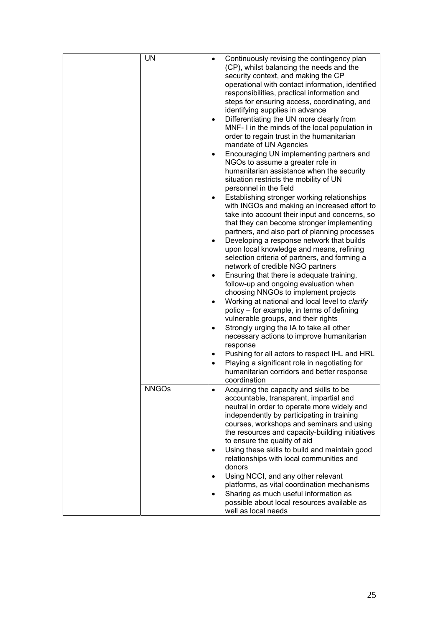|  | <b>UN</b>    | $\bullet$<br>$\bullet$<br>٠<br>$\bullet$<br>$\bullet$<br>$\bullet$<br>$\bullet$ | Continuously revising the contingency plan<br>(CP), whilst balancing the needs and the<br>security context, and making the CP<br>operational with contact information, identified<br>responsibilities, practical information and<br>steps for ensuring access, coordinating, and<br>identifying supplies in advance<br>Differentiating the UN more clearly from<br>MNF- I in the minds of the local population in<br>order to regain trust in the humanitarian<br>mandate of UN Agencies<br>Encouraging UN implementing partners and<br>NGOs to assume a greater role in<br>humanitarian assistance when the security<br>situation restricts the mobility of UN<br>personnel in the field<br>Establishing stronger working relationships<br>with INGOs and making an increased effort to<br>take into account their input and concerns, so<br>that they can become stronger implementing<br>partners, and also part of planning processes<br>Developing a response network that builds<br>upon local knowledge and means, refining<br>selection criteria of partners, and forming a<br>network of credible NGO partners<br>Ensuring that there is adequate training,<br>follow-up and ongoing evaluation when<br>choosing NNGOs to implement projects<br>Working at national and local level to clarify<br>policy – for example, in terms of defining<br>vulnerable groups, and their rights<br>Strongly urging the IA to take all other<br>necessary actions to improve humanitarian<br>response<br>Pushing for all actors to respect IHL and HRL<br>Playing a significant role in negotiating for<br>humanitarian corridors and better response<br>coordination |
|--|--------------|---------------------------------------------------------------------------------|-------------------------------------------------------------------------------------------------------------------------------------------------------------------------------------------------------------------------------------------------------------------------------------------------------------------------------------------------------------------------------------------------------------------------------------------------------------------------------------------------------------------------------------------------------------------------------------------------------------------------------------------------------------------------------------------------------------------------------------------------------------------------------------------------------------------------------------------------------------------------------------------------------------------------------------------------------------------------------------------------------------------------------------------------------------------------------------------------------------------------------------------------------------------------------------------------------------------------------------------------------------------------------------------------------------------------------------------------------------------------------------------------------------------------------------------------------------------------------------------------------------------------------------------------------------------------------------------------------------------------------------------------------------------|
|  | <b>NNGOs</b> | $\bullet$                                                                       | Acquiring the capacity and skills to be<br>accountable, transparent, impartial and<br>neutral in order to operate more widely and<br>independently by participating in training<br>courses, workshops and seminars and using<br>the resources and capacity-building initiatives<br>to ensure the quality of aid<br>Using these skills to build and maintain good<br>relationships with local communities and<br>donors<br>Using NCCI, and any other relevant<br>platforms, as vital coordination mechanisms<br>Sharing as much useful information as<br>possible about local resources available as<br>well as local needs                                                                                                                                                                                                                                                                                                                                                                                                                                                                                                                                                                                                                                                                                                                                                                                                                                                                                                                                                                                                                                        |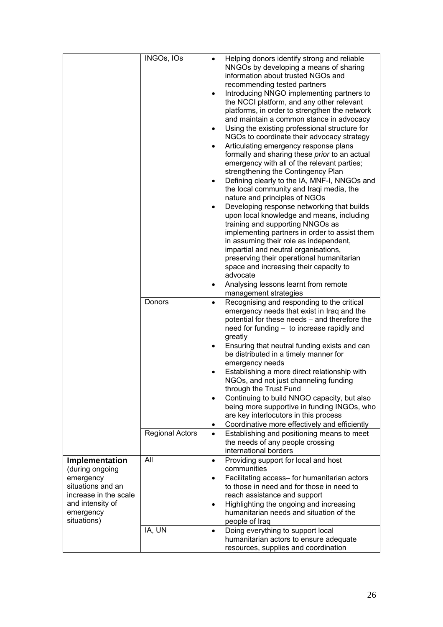|                                                                                                                                              | INGOs, IOs                              | ٠<br>$\bullet$<br>$\bullet$<br>$\bullet$<br>٠    | Helping donors identify strong and reliable<br>NNGOs by developing a means of sharing<br>information about trusted NGOs and<br>recommending tested partners<br>Introducing NNGO implementing partners to<br>the NCCI platform, and any other relevant<br>platforms, in order to strengthen the network<br>and maintain a common stance in advocacy<br>Using the existing professional structure for<br>NGOs to coordinate their advocacy strategy<br>Articulating emergency response plans<br>formally and sharing these prior to an actual<br>emergency with all of the relevant parties;<br>strengthening the Contingency Plan<br>Defining clearly to the IA, MNF-I, NNGOs and<br>the local community and Iraqi media, the<br>nature and principles of NGOs<br>Developing response networking that builds<br>upon local knowledge and means, including<br>training and supporting NNGOs as<br>implementing partners in order to assist them<br>in assuming their role as independent,<br>impartial and neutral organisations,<br>preserving their operational humanitarian<br>space and increasing their capacity to<br>advocate<br>Analysing lessons learnt from remote<br>management strategies |
|----------------------------------------------------------------------------------------------------------------------------------------------|-----------------------------------------|--------------------------------------------------|-----------------------------------------------------------------------------------------------------------------------------------------------------------------------------------------------------------------------------------------------------------------------------------------------------------------------------------------------------------------------------------------------------------------------------------------------------------------------------------------------------------------------------------------------------------------------------------------------------------------------------------------------------------------------------------------------------------------------------------------------------------------------------------------------------------------------------------------------------------------------------------------------------------------------------------------------------------------------------------------------------------------------------------------------------------------------------------------------------------------------------------------------------------------------------------------------------|
|                                                                                                                                              | Donors<br><b>Regional Actors</b><br>All | $\bullet$<br>$\bullet$<br>$\bullet$<br>$\bullet$ | Recognising and responding to the critical<br>emergency needs that exist in Iraq and the<br>potential for these needs - and therefore the<br>need for funding - to increase rapidly and<br>greatly<br>Ensuring that neutral funding exists and can<br>be distributed in a timely manner for<br>emergency needs<br>Establishing a more direct relationship with<br>NGOs, and not just channeling funding<br>through the Trust Fund<br>Continuing to build NNGO capacity, but also<br>being more supportive in funding INGOs, who<br>are key interlocutors in this process<br>Coordinative more effectively and efficiently<br>Establishing and positioning means to meet<br>the needs of any people crossing<br>international borders                                                                                                                                                                                                                                                                                                                                                                                                                                                                |
| Implementation<br>(during ongoing<br>emergency<br>situations and an<br>increase in the scale<br>and intensity of<br>emergency<br>situations) | IA, UN                                  | $\bullet$<br>$\bullet$<br>$\bullet$              | Providing support for local and host<br>communities<br>Facilitating access- for humanitarian actors<br>to those in need and for those in need to<br>reach assistance and support<br>Highlighting the ongoing and increasing<br>humanitarian needs and situation of the<br>people of Iraq<br>Doing everything to support local<br>humanitarian actors to ensure adequate                                                                                                                                                                                                                                                                                                                                                                                                                                                                                                                                                                                                                                                                                                                                                                                                                             |
|                                                                                                                                              |                                         |                                                  | resources, supplies and coordination                                                                                                                                                                                                                                                                                                                                                                                                                                                                                                                                                                                                                                                                                                                                                                                                                                                                                                                                                                                                                                                                                                                                                                |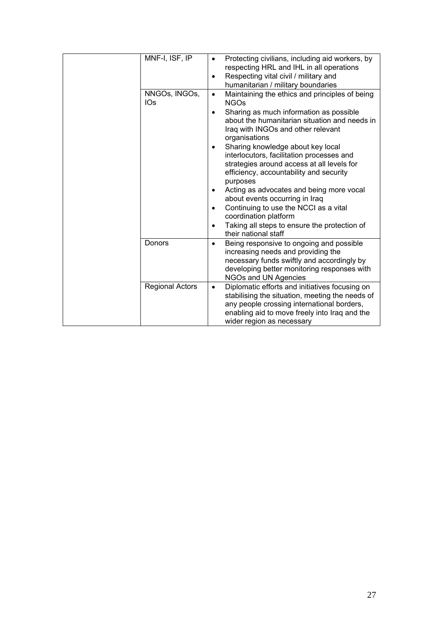| MNF-I, ISF, IP<br>NNGOs, INGOs, | Protecting civilians, including aid workers, by<br>respecting HRL and IHL in all operations<br>Respecting vital civil / military and<br>$\bullet$<br>humanitarian / military boundaries<br>Maintaining the ethics and principles of being<br>$\bullet$                                                                                                                                                                                                                                                                                                                                                                                         |
|---------------------------------|------------------------------------------------------------------------------------------------------------------------------------------------------------------------------------------------------------------------------------------------------------------------------------------------------------------------------------------------------------------------------------------------------------------------------------------------------------------------------------------------------------------------------------------------------------------------------------------------------------------------------------------------|
| IO <sub>S</sub>                 | <b>NGOs</b><br>Sharing as much information as possible<br>$\bullet$<br>about the humanitarian situation and needs in<br>Iraq with INGOs and other relevant<br>organisations<br>Sharing knowledge about key local<br>$\bullet$<br>interlocutors, facilitation processes and<br>strategies around access at all levels for<br>efficiency, accountability and security<br>purposes<br>Acting as advocates and being more vocal<br>$\bullet$<br>about events occurring in Iraq<br>Continuing to use the NCCI as a vital<br>$\bullet$<br>coordination platform<br>Taking all steps to ensure the protection of<br>$\bullet$<br>their national staff |
| Donors                          | Being responsive to ongoing and possible<br>$\bullet$<br>increasing needs and providing the<br>necessary funds swiftly and accordingly by<br>developing better monitoring responses with<br>NGOs and UN Agencies                                                                                                                                                                                                                                                                                                                                                                                                                               |
| <b>Regional Actors</b>          | Diplomatic efforts and initiatives focusing on<br>$\bullet$<br>stabilising the situation, meeting the needs of<br>any people crossing international borders,<br>enabling aid to move freely into Iraq and the<br>wider region as necessary                                                                                                                                                                                                                                                                                                                                                                                                     |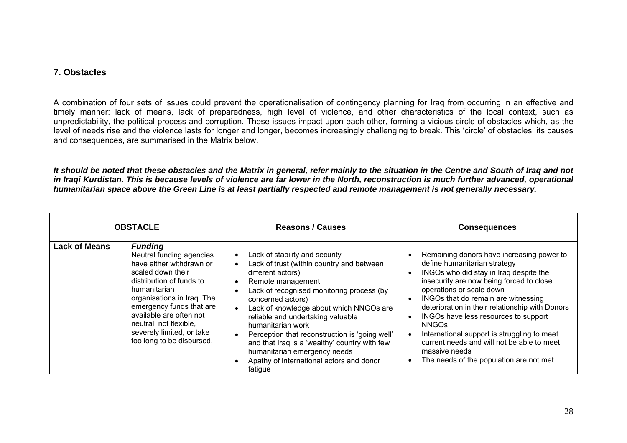#### **7. Obstacles**

A combination of four sets of issues could prevent the operationalisation of contingency planning for Iraq from occurring in an effective and timely manner: lack of means, lack of preparedness, high level of violence, and other characteristics of the local context, such as unpredictability, the political process and corruption. These issues impact upon each other, forming a vicious circle of obstacles which, as the level of needs rise and the violence lasts for longer and longer, becomes increasingly challenging to break. This 'circle' of obstacles, its causes and consequences, are summarised in the Matrix below.

*It should be noted that these obstacles and the Matrix in general, refer mainly to the situation in the Centre and South of Iraq and not in Iraqi Kurdistan. This is because levels of violence are far lower in the North, reconstruction is much further advanced, operational humanitarian space above the Green Line is at least partially respected and remote management is not generally necessary.* 

<span id="page-28-0"></span>

| <b>OBSTACLE</b>      |                                                                                                                                                                                                                                                                                                                  | <b>Reasons / Causes</b>                                                                                                                                                                                                                                                                                                                                                                                                                                                                                                                                                           | <b>Consequences</b>                                                                                                                                                                                                                                                                                                                                                                                                                                                                                    |
|----------------------|------------------------------------------------------------------------------------------------------------------------------------------------------------------------------------------------------------------------------------------------------------------------------------------------------------------|-----------------------------------------------------------------------------------------------------------------------------------------------------------------------------------------------------------------------------------------------------------------------------------------------------------------------------------------------------------------------------------------------------------------------------------------------------------------------------------------------------------------------------------------------------------------------------------|--------------------------------------------------------------------------------------------------------------------------------------------------------------------------------------------------------------------------------------------------------------------------------------------------------------------------------------------------------------------------------------------------------------------------------------------------------------------------------------------------------|
| <b>Lack of Means</b> | <b>Funding</b><br>Neutral funding agencies<br>have either withdrawn or<br>scaled down their<br>distribution of funds to<br>humanitarian<br>organisations in Iraq. The<br>emergency funds that are<br>available are often not<br>neutral, not flexible,<br>severely limited, or take<br>too long to be disbursed. | Lack of stability and security<br>$\bullet$<br>Lack of trust (within country and between<br>$\bullet$<br>different actors)<br>Remote management<br>$\bullet$<br>Lack of recognised monitoring process (by<br>$\bullet$<br>concerned actors)<br>Lack of knowledge about which NNGOs are<br>$\bullet$<br>reliable and undertaking valuable<br>humanitarian work<br>Perception that reconstruction is 'going well'<br>$\bullet$<br>and that Iraq is a 'wealthy' country with few<br>humanitarian emergency needs<br>Apathy of international actors and donor<br>$\bullet$<br>fatigue | Remaining donors have increasing power to<br>define humanitarian strategy<br>INGOs who did stay in Iraq despite the<br>insecurity are now being forced to close<br>operations or scale down<br>INGOs that do remain are witnessing<br>deterioration in their relationship with Donors<br>INGOs have less resources to support<br><b>NNGOs</b><br>International support is struggling to meet<br>current needs and will not be able to meet<br>massive needs<br>The needs of the population are not met |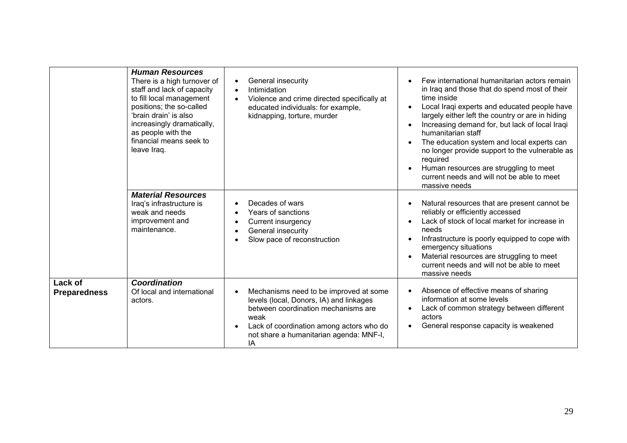|                                | <b>Human Resources</b><br>There is a high turnover of<br>staff and lack of capacity<br>to fill local management<br>positions; the so-called<br>'brain drain' is also<br>increasingly dramatically,<br>as people with the<br>financial means seek to<br>leave Iraq. | General insecurity<br>$\bullet$<br>Intimidation<br>$\bullet$<br>Violence and crime directed specifically at<br>$\bullet$<br>educated individuals: for example,<br>kidnapping, torture, murder                                              | Few international humanitarian actors remain<br>in Iraq and those that do spend most of their<br>time inside<br>Local Iraqi experts and educated people have<br>largely either left the country or are in hiding<br>Increasing demand for, but lack of local Iraqi<br>humanitarian staff<br>The education system and local experts can<br>no longer provide support to the vulnerable as<br>required<br>Human resources are struggling to meet<br>current needs and will not be able to meet<br>massive needs |
|--------------------------------|--------------------------------------------------------------------------------------------------------------------------------------------------------------------------------------------------------------------------------------------------------------------|--------------------------------------------------------------------------------------------------------------------------------------------------------------------------------------------------------------------------------------------|---------------------------------------------------------------------------------------------------------------------------------------------------------------------------------------------------------------------------------------------------------------------------------------------------------------------------------------------------------------------------------------------------------------------------------------------------------------------------------------------------------------|
|                                | <b>Material Resources</b><br>Iraq's infrastructure is<br>weak and needs<br>improvement and<br>maintenance.                                                                                                                                                         | Decades of wars<br>$\bullet$<br>Years of sanctions<br>$\bullet$<br>Current insurgency<br>$\bullet$<br>General insecurity<br>$\bullet$<br>Slow pace of reconstruction                                                                       | Natural resources that are present cannot be<br>reliably or efficiently accessed<br>Lack of stock of local market for increase in<br>needs<br>Infrastructure is poorly equipped to cope with<br>emergency situations<br>Material resources are struggling to meet<br>current needs and will not be able to meet<br>massive needs                                                                                                                                                                              |
| Lack of<br><b>Preparedness</b> | <b>Coordination</b><br>Of local and international<br>actors.                                                                                                                                                                                                       | Mechanisms need to be improved at some<br>$\bullet$<br>levels (local, Donors, IA) and linkages<br>between coordination mechanisms are<br>weak<br>Lack of coordination among actors who do<br>not share a humanitarian agenda: MNF-I,<br>IA | Absence of effective means of sharing<br>information at some levels<br>Lack of common strategy between different<br>actors<br>General response capacity is weakened                                                                                                                                                                                                                                                                                                                                           |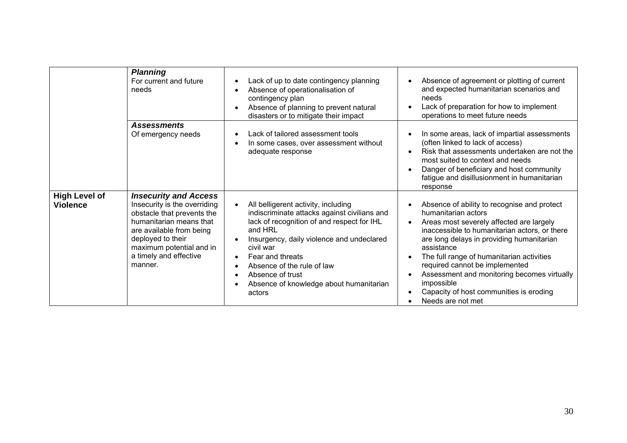|                                         | <b>Planning</b><br>For current and future<br>needs                                                                                                                                                                                      | Lack of up to date contingency planning<br>$\bullet$<br>Absence of operationalisation of<br>$\bullet$<br>contingency plan<br>Absence of planning to prevent natural<br>$\bullet$                                                                                                                                                                                                                                | Absence of agreement or plotting of current<br>and expected humanitarian scenarios and<br>needs<br>Lack of preparation for how to implement                                                                                                                                                                                                                                                                                            |
|-----------------------------------------|-----------------------------------------------------------------------------------------------------------------------------------------------------------------------------------------------------------------------------------------|-----------------------------------------------------------------------------------------------------------------------------------------------------------------------------------------------------------------------------------------------------------------------------------------------------------------------------------------------------------------------------------------------------------------|----------------------------------------------------------------------------------------------------------------------------------------------------------------------------------------------------------------------------------------------------------------------------------------------------------------------------------------------------------------------------------------------------------------------------------------|
|                                         |                                                                                                                                                                                                                                         | disasters or to mitigate their impact                                                                                                                                                                                                                                                                                                                                                                           | operations to meet future needs                                                                                                                                                                                                                                                                                                                                                                                                        |
|                                         | <b>Assessments</b>                                                                                                                                                                                                                      |                                                                                                                                                                                                                                                                                                                                                                                                                 |                                                                                                                                                                                                                                                                                                                                                                                                                                        |
|                                         | Of emergency needs                                                                                                                                                                                                                      | Lack of tailored assessment tools<br>$\bullet$<br>In some cases, over assessment without<br>$\bullet$<br>adequate response                                                                                                                                                                                                                                                                                      | In some areas, lack of impartial assessments<br>(often linked to lack of access)<br>Risk that assessments undertaken are not the<br>most suited to context and needs<br>Danger of beneficiary and host community<br>fatigue and disillusionment in humanitarian<br>response                                                                                                                                                            |
| <b>High Level of</b><br><b>Violence</b> | <b>Insecurity and Access</b><br>Insecurity is the overriding<br>obstacle that prevents the<br>humanitarian means that<br>are available from being<br>deployed to their<br>maximum potential and in<br>a timely and effective<br>manner. | All belligerent activity, including<br>$\bullet$<br>indiscriminate attacks against civilians and<br>lack of recognition of and respect for IHL<br>and HRL<br>Insurgency, daily violence and undeclared<br>$\bullet$<br>civil war<br>Fear and threats<br>$\bullet$<br>Absence of the rule of law<br>$\bullet$<br>Absence of trust<br>$\bullet$<br>Absence of knowledge about humanitarian<br>$\bullet$<br>actors | Absence of ability to recognise and protect<br>humanitarian actors<br>Areas most severely affected are largely<br>inaccessible to humanitarian actors, or there<br>are long delays in providing humanitarian<br>assistance<br>The full range of humanitarian activities<br>required cannot be implemented<br>Assessment and monitoring becomes virtually<br>impossible<br>Capacity of host communities is eroding<br>Needs are not met |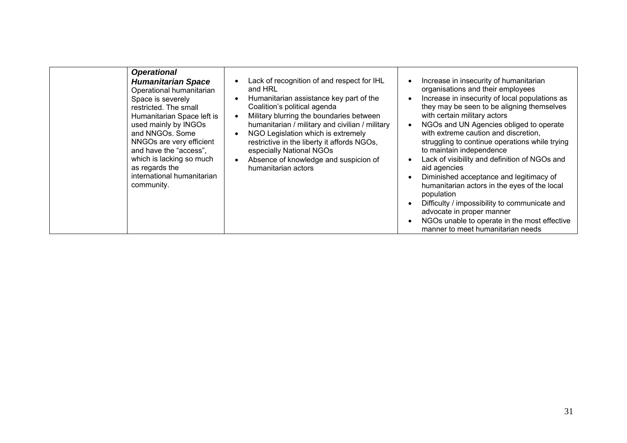| <b>Operational</b><br><b>Humanitarian Space</b><br>Operational humanitarian<br>Space is severely<br>restricted. The small<br>Humanitarian Space left is<br>used mainly by INGOs<br>and NNGOs. Some<br>NNGOs are very efficient<br>and have the "access",<br>which is lacking so much<br>as regards the<br>international humanitarian<br>community. | Lack of recognition of and respect for IHL<br>$\bullet$<br>and HRL<br>Humanitarian assistance key part of the<br>$\bullet$<br>Coalition's political agenda<br>Military blurring the boundaries between<br>$\bullet$<br>humanitarian / military and civilian / military<br>NGO Legislation which is extremely<br>$\bullet$<br>restrictive in the liberty it affords NGOs,<br>especially National NGOs<br>Absence of knowledge and suspicion of<br>$\bullet$<br>humanitarian actors | Increase in insecurity of humanitarian<br>organisations and their employees<br>Increase in insecurity of local populations as<br>they may be seen to be aligning themselves<br>with certain military actors<br>NGOs and UN Agencies obliged to operate<br>with extreme caution and discretion,<br>struggling to continue operations while trying<br>to maintain independence<br>Lack of visibility and definition of NGOs and<br>aid agencies<br>Diminished acceptance and legitimacy of<br>humanitarian actors in the eyes of the local<br>population<br>Difficulty / impossibility to communicate and<br>advocate in proper manner<br>NGOs unable to operate in the most effective<br>manner to meet humanitarian needs |
|----------------------------------------------------------------------------------------------------------------------------------------------------------------------------------------------------------------------------------------------------------------------------------------------------------------------------------------------------|-----------------------------------------------------------------------------------------------------------------------------------------------------------------------------------------------------------------------------------------------------------------------------------------------------------------------------------------------------------------------------------------------------------------------------------------------------------------------------------|---------------------------------------------------------------------------------------------------------------------------------------------------------------------------------------------------------------------------------------------------------------------------------------------------------------------------------------------------------------------------------------------------------------------------------------------------------------------------------------------------------------------------------------------------------------------------------------------------------------------------------------------------------------------------------------------------------------------------|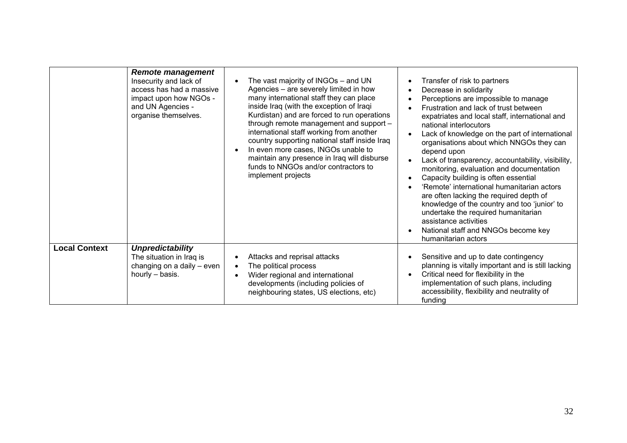|                      | <b>Remote management</b><br>Insecurity and lack of<br>access has had a massive<br>impact upon how NGOs -<br>and UN Agencies -<br>organise themselves. | The vast majority of INGOs – and UN<br>$\bullet$<br>Agencies – are severely limited in how<br>many international staff they can place<br>inside Iraq (with the exception of Iraqi<br>Kurdistan) and are forced to run operations<br>through remote management and support -<br>international staff working from another<br>country supporting national staff inside Iraq<br>In even more cases, INGOs unable to<br>$\bullet$<br>maintain any presence in Iraq will disburse<br>funds to NNGOs and/or contractors to<br>implement projects | Transfer of risk to partners<br>Decrease in solidarity<br>Perceptions are impossible to manage<br>Frustration and lack of trust between<br>expatriates and local staff, international and<br>national interlocutors<br>Lack of knowledge on the part of international<br>organisations about which NNGOs they can<br>depend upon<br>Lack of transparency, accountability, visibility,<br>monitoring, evaluation and documentation<br>Capacity building is often essential<br>'Remote' international humanitarian actors<br>are often lacking the required depth of<br>knowledge of the country and too 'junior' to<br>undertake the required humanitarian<br>assistance activities<br>National staff and NNGOs become key<br>humanitarian actors |
|----------------------|-------------------------------------------------------------------------------------------------------------------------------------------------------|-------------------------------------------------------------------------------------------------------------------------------------------------------------------------------------------------------------------------------------------------------------------------------------------------------------------------------------------------------------------------------------------------------------------------------------------------------------------------------------------------------------------------------------------|--------------------------------------------------------------------------------------------------------------------------------------------------------------------------------------------------------------------------------------------------------------------------------------------------------------------------------------------------------------------------------------------------------------------------------------------------------------------------------------------------------------------------------------------------------------------------------------------------------------------------------------------------------------------------------------------------------------------------------------------------|
| <b>Local Context</b> | <b>Unpredictability</b><br>The situation in Iraq is<br>changing on a daily - even<br>hourly - basis.                                                  | Attacks and reprisal attacks<br>$\bullet$<br>The political process<br>$\bullet$<br>Wider regional and international<br>$\bullet$<br>developments (including policies of<br>neighbouring states, US elections, etc)                                                                                                                                                                                                                                                                                                                        | Sensitive and up to date contingency<br>planning is vitally important and is still lacking<br>Critical need for flexibility in the<br>implementation of such plans, including<br>accessibility, flexibility and neutrality of<br>funding                                                                                                                                                                                                                                                                                                                                                                                                                                                                                                         |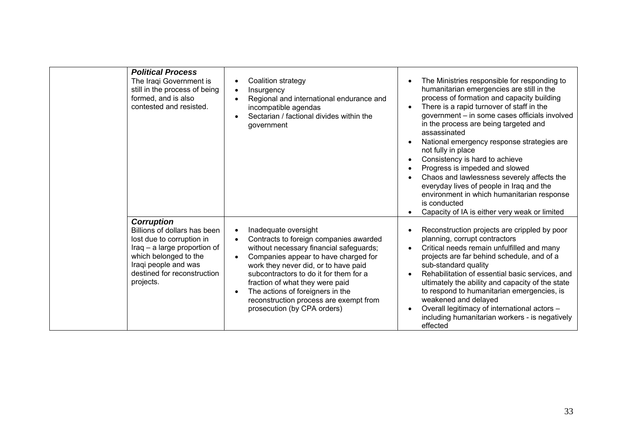| <b>Political Process</b><br>The Iraqi Government is<br>still in the process of being<br>formed, and is also<br>contested and resisted.                                                                      | Coalition strategy<br>$\bullet$<br>Insurgency<br>$\bullet$<br>Regional and international endurance and<br>$\bullet$<br>incompatible agendas<br>Sectarian / factional divides within the<br>$\bullet$<br>government                                                                                                                                                                                                                      | The Ministries responsible for responding to<br>humanitarian emergencies are still in the<br>process of formation and capacity building<br>There is a rapid turnover of staff in the<br>government - in some cases officials involved<br>in the process are being targeted and<br>assassinated<br>National emergency response strategies are<br>not fully in place<br>Consistency is hard to achieve<br>Progress is impeded and slowed<br>Chaos and lawlessness severely affects the<br>everyday lives of people in Iraq and the<br>environment in which humanitarian response |
|-------------------------------------------------------------------------------------------------------------------------------------------------------------------------------------------------------------|-----------------------------------------------------------------------------------------------------------------------------------------------------------------------------------------------------------------------------------------------------------------------------------------------------------------------------------------------------------------------------------------------------------------------------------------|--------------------------------------------------------------------------------------------------------------------------------------------------------------------------------------------------------------------------------------------------------------------------------------------------------------------------------------------------------------------------------------------------------------------------------------------------------------------------------------------------------------------------------------------------------------------------------|
| <b>Corruption</b><br>Billions of dollars has been<br>lost due to corruption in<br>Iraq – a large proportion of<br>which belonged to the<br>Iraqi people and was<br>destined for reconstruction<br>projects. | Inadequate oversight<br>$\bullet$<br>Contracts to foreign companies awarded<br>$\bullet$<br>without necessary financial safeguards;<br>Companies appear to have charged for<br>$\bullet$<br>work they never did, or to have paid<br>subcontractors to do it for them for a<br>fraction of what they were paid<br>The actions of foreigners in the<br>$\bullet$<br>reconstruction process are exempt from<br>prosecution (by CPA orders) | is conducted<br>Capacity of IA is either very weak or limited<br>Reconstruction projects are crippled by poor<br>planning, corrupt contractors<br>Critical needs remain unfulfilled and many<br>projects are far behind schedule, and of a<br>sub-standard quality<br>Rehabilitation of essential basic services, and<br>ultimately the ability and capacity of the state<br>to respond to humanitarian emergencies, is<br>weakened and delayed<br>Overall legitimacy of international actors -<br>including humanitarian workers - is negatively<br>effected                  |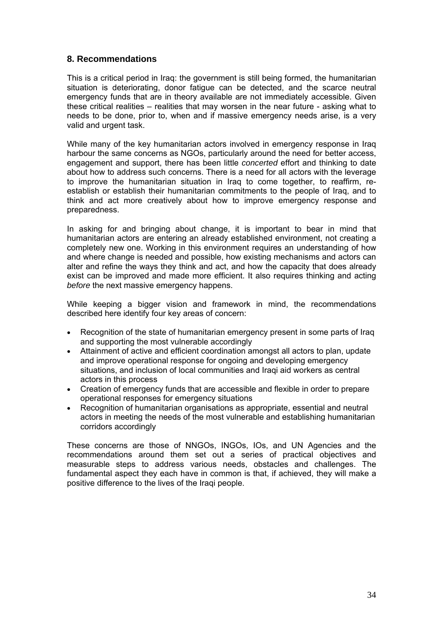#### <span id="page-34-0"></span>**8. Recommendations**

This is a critical period in Iraq: the government is still being formed, the humanitarian situation is deteriorating, donor fatigue can be detected, and the scarce neutral emergency funds that are in theory available are not immediately accessible. Given these critical realities – realities that may worsen in the near future - asking what to needs to be done, prior to, when and if massive emergency needs arise, is a very valid and urgent task.

While many of the key humanitarian actors involved in emergency response in Iraq harbour the same concerns as NGOs, particularly around the need for better access, engagement and support, there has been little *concerted* effort and thinking to date about how to address such concerns. There is a need for all actors with the leverage to improve the humanitarian situation in Iraq to come together, to reaffirm, reestablish or establish their humanitarian commitments to the people of Iraq, and to think and act more creatively about how to improve emergency response and preparedness.

In asking for and bringing about change, it is important to bear in mind that humanitarian actors are entering an already established environment, not creating a completely new one. Working in this environment requires an understanding of how and where change is needed and possible, how existing mechanisms and actors can alter and refine the ways they think and act, and how the capacity that does already exist can be improved and made more efficient. It also requires thinking and acting *before* the next massive emergency happens.

While keeping a bigger vision and framework in mind, the recommendations described here identify four key areas of concern:

- Recognition of the state of humanitarian emergency present in some parts of Iraq and supporting the most vulnerable accordingly
- Attainment of active and efficient coordination amongst all actors to plan, update and improve operational response for ongoing and developing emergency situations, and inclusion of local communities and Iraqi aid workers as central actors in this process
- Creation of emergency funds that are accessible and flexible in order to prepare operational responses for emergency situations
- Recognition of humanitarian organisations as appropriate, essential and neutral actors in meeting the needs of the most vulnerable and establishing humanitarian corridors accordingly

These concerns are those of NNGOs, INGOs, IOs, and UN Agencies and the recommendations around them set out a series of practical objectives and measurable steps to address various needs, obstacles and challenges. The fundamental aspect they each have in common is that, if achieved, they will make a positive difference to the lives of the Iraqi people.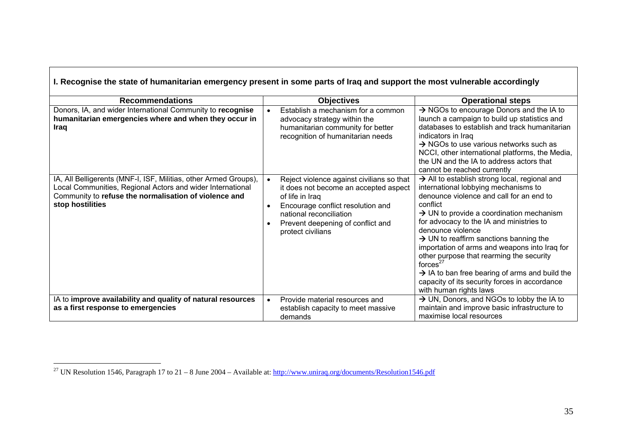| I. Recognise the state of humanitarian emergency present in some parts of Iraq and support the most vulnerable accordingly                                                                                  |                                                                                                                                                                                                                                 |                                                                                                                                                                                                                                                                                                                                                                                                                                                                                                                                                                                                  |  |  |  |
|-------------------------------------------------------------------------------------------------------------------------------------------------------------------------------------------------------------|---------------------------------------------------------------------------------------------------------------------------------------------------------------------------------------------------------------------------------|--------------------------------------------------------------------------------------------------------------------------------------------------------------------------------------------------------------------------------------------------------------------------------------------------------------------------------------------------------------------------------------------------------------------------------------------------------------------------------------------------------------------------------------------------------------------------------------------------|--|--|--|
| <b>Recommendations</b>                                                                                                                                                                                      | <b>Objectives</b>                                                                                                                                                                                                               | <b>Operational steps</b>                                                                                                                                                                                                                                                                                                                                                                                                                                                                                                                                                                         |  |  |  |
| Donors, IA, and wider International Community to recognise<br>humanitarian emergencies where and when they occur in<br>Iraq                                                                                 | Establish a mechanism for a common<br>advocacy strategy within the<br>humanitarian community for better<br>recognition of humanitarian needs                                                                                    | $\rightarrow$ NGOs to encourage Donors and the IA to<br>launch a campaign to build up statistics and<br>databases to establish and track humanitarian<br>indicators in Iraq<br>$\rightarrow$ NGOs to use various networks such as<br>NCCI, other international platforms, the Media,<br>the UN and the IA to address actors that<br>cannot be reached currently                                                                                                                                                                                                                                  |  |  |  |
| IA, All Belligerents (MNF-I, ISF, Militias, other Armed Groups),<br>Local Communities, Regional Actors and wider International<br>Community to refuse the normalisation of violence and<br>stop hostilities | Reject violence against civilians so that<br>it does not become an accepted aspect<br>of life in Iraq<br>Encourage conflict resolution and<br>national reconciliation<br>Prevent deepening of conflict and<br>protect civilians | $\rightarrow$ All to establish strong local, regional and<br>international lobbying mechanisms to<br>denounce violence and call for an end to<br>conflict<br>$\rightarrow$ UN to provide a coordination mechanism<br>for advocacy to the IA and ministries to<br>denounce violence<br>$\rightarrow$ UN to reaffirm sanctions banning the<br>importation of arms and weapons into Iraq for<br>other purpose that rearming the security<br>forces $^{27}$<br>$\rightarrow$ IA to ban free bearing of arms and build the<br>capacity of its security forces in accordance<br>with human rights laws |  |  |  |
| IA to improve availability and quality of natural resources                                                                                                                                                 | Provide material resources and<br>$\bullet$                                                                                                                                                                                     | $\rightarrow$ UN, Donors, and NGOs to lobby the IA to                                                                                                                                                                                                                                                                                                                                                                                                                                                                                                                                            |  |  |  |
| as a first response to emergencies                                                                                                                                                                          | establish capacity to meet massive<br>demands                                                                                                                                                                                   | maintain and improve basic infrastructure to<br>maximise local resources                                                                                                                                                                                                                                                                                                                                                                                                                                                                                                                         |  |  |  |

<span id="page-35-0"></span><sup>&</sup>lt;sup>27</sup> UN Resolution 1546, Paragraph 17 to 21 – 8 June 2004 – Available at:  $\frac{http://www.uniraq.org/documents/Resolution1546.pdf}{http://www.uniraq.org/documents/Resolution1546.pdf}$  $\frac{http://www.uniraq.org/documents/Resolution1546.pdf}{http://www.uniraq.org/documents/Resolution1546.pdf}$  $\frac{http://www.uniraq.org/documents/Resolution1546.pdf}{http://www.uniraq.org/documents/Resolution1546.pdf}$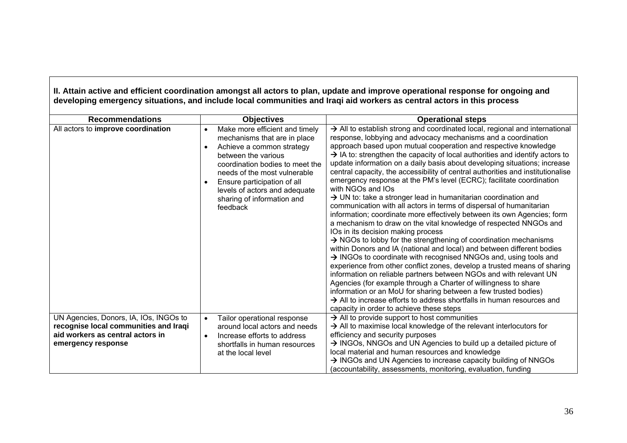|                                                                                                                     |                                                                                                                                                                                                                                                                                                                           | II. Attain active and efficient coordination amongst all actors to plan, update and improve operational response for ongoing and<br>developing emergency situations, and include local communities and Iraqi aid workers as central actors in this process                                                                                                                                                                                                                                                                                                                                                                                                                                                                                                                                                                                                                                                                                                                                                                                                                                                                                                                                                                                                                                                                                                                                                                                                                                                                                                                  |
|---------------------------------------------------------------------------------------------------------------------|---------------------------------------------------------------------------------------------------------------------------------------------------------------------------------------------------------------------------------------------------------------------------------------------------------------------------|-----------------------------------------------------------------------------------------------------------------------------------------------------------------------------------------------------------------------------------------------------------------------------------------------------------------------------------------------------------------------------------------------------------------------------------------------------------------------------------------------------------------------------------------------------------------------------------------------------------------------------------------------------------------------------------------------------------------------------------------------------------------------------------------------------------------------------------------------------------------------------------------------------------------------------------------------------------------------------------------------------------------------------------------------------------------------------------------------------------------------------------------------------------------------------------------------------------------------------------------------------------------------------------------------------------------------------------------------------------------------------------------------------------------------------------------------------------------------------------------------------------------------------------------------------------------------------|
| <b>Recommendations</b>                                                                                              | <b>Objectives</b>                                                                                                                                                                                                                                                                                                         | <b>Operational steps</b>                                                                                                                                                                                                                                                                                                                                                                                                                                                                                                                                                                                                                                                                                                                                                                                                                                                                                                                                                                                                                                                                                                                                                                                                                                                                                                                                                                                                                                                                                                                                                    |
| All actors to improve coordination                                                                                  | Make more efficient and timely<br>$\bullet$<br>mechanisms that are in place<br>Achieve a common strategy<br>$\bullet$<br>between the various<br>coordination bodies to meet the<br>needs of the most vulnerable<br>Ensure participation of all<br>levels of actors and adequate<br>sharing of information and<br>feedback | $\rightarrow$ All to establish strong and coordinated local, regional and international<br>response, lobbying and advocacy mechanisms and a coordination<br>approach based upon mutual cooperation and respective knowledge<br>$\rightarrow$ IA to: strengthen the capacity of local authorities and identify actors to<br>update information on a daily basis about developing situations; increase<br>central capacity, the accessibility of central authorities and institutionalise<br>emergency response at the PM's level (ECRC); facilitate coordination<br>with NGOs and IOs<br>> UN to: take a stronger lead in humanitarian coordination and<br>communication with all actors in terms of dispersal of humanitarian<br>information; coordinate more effectively between its own Agencies; form<br>a mechanism to draw on the vital knowledge of respected NNGOs and<br>IOs in its decision making process<br>$\rightarrow$ NGOs to lobby for the strengthening of coordination mechanisms<br>within Donors and IA (national and local) and between different bodies<br>> INGOs to coordinate with recognised NNGOs and, using tools and<br>experience from other conflict zones, develop a trusted means of sharing<br>information on reliable partners between NGOs and with relevant UN<br>Agencies (for example through a Charter of willingness to share<br>information or an MoU for sharing between a few trusted bodies)<br>$\rightarrow$ All to increase efforts to address shortfalls in human resources and<br>capacity in order to achieve these steps |
| UN Agencies, Donors, IA, IOs, INGOs to<br>recognise local communities and Iraqi<br>aid workers as central actors in | Tailor operational response<br>$\bullet$<br>around local actors and needs<br>Increase efforts to address<br>$\bullet$                                                                                                                                                                                                     | $\rightarrow$ All to provide support to host communities<br>$\rightarrow$ All to maximise local knowledge of the relevant interlocutors for<br>efficiency and security purposes                                                                                                                                                                                                                                                                                                                                                                                                                                                                                                                                                                                                                                                                                                                                                                                                                                                                                                                                                                                                                                                                                                                                                                                                                                                                                                                                                                                             |
| emergency response                                                                                                  | shortfalls in human resources                                                                                                                                                                                                                                                                                             | $\rightarrow$ INGOs, NNGOs and UN Agencies to build up a detailed picture of                                                                                                                                                                                                                                                                                                                                                                                                                                                                                                                                                                                                                                                                                                                                                                                                                                                                                                                                                                                                                                                                                                                                                                                                                                                                                                                                                                                                                                                                                                |
|                                                                                                                     | at the local level                                                                                                                                                                                                                                                                                                        | local material and human resources and knowledge                                                                                                                                                                                                                                                                                                                                                                                                                                                                                                                                                                                                                                                                                                                                                                                                                                                                                                                                                                                                                                                                                                                                                                                                                                                                                                                                                                                                                                                                                                                            |
|                                                                                                                     |                                                                                                                                                                                                                                                                                                                           | $\rightarrow$ INGOs and UN Agencies to increase capacity building of NNGOs                                                                                                                                                                                                                                                                                                                                                                                                                                                                                                                                                                                                                                                                                                                                                                                                                                                                                                                                                                                                                                                                                                                                                                                                                                                                                                                                                                                                                                                                                                  |
|                                                                                                                     |                                                                                                                                                                                                                                                                                                                           | (accountability, assessments, monitoring, evaluation, funding                                                                                                                                                                                                                                                                                                                                                                                                                                                                                                                                                                                                                                                                                                                                                                                                                                                                                                                                                                                                                                                                                                                                                                                                                                                                                                                                                                                                                                                                                                               |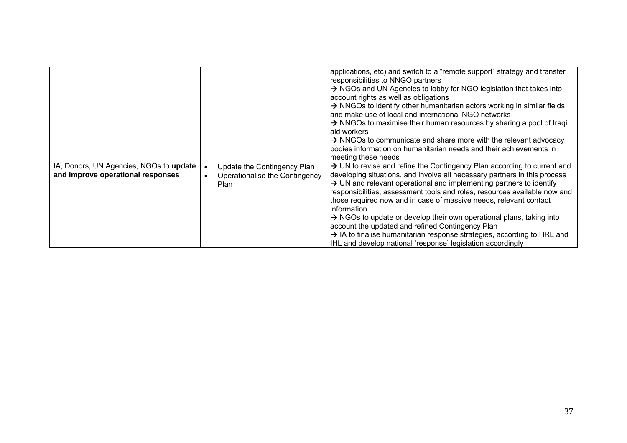|                                                                              |                                                                              | applications, etc) and switch to a "remote support" strategy and transfer<br>responsibilities to NNGO partners<br>A NGOs and UN Agencies to lobby for NGO legislation that takes into<br>account rights as well as obligations<br>> NNGOs to identify other humanitarian actors working in similar fields<br>and make use of local and international NGO networks<br>$\rightarrow$ NNGOs to maximise their human resources by sharing a pool of Iraqi<br>aid workers<br>$\rightarrow$ NNGOs to communicate and share more with the relevant advocacy<br>bodies information on humanitarian needs and their achievements in                                                                                                                |
|------------------------------------------------------------------------------|------------------------------------------------------------------------------|-------------------------------------------------------------------------------------------------------------------------------------------------------------------------------------------------------------------------------------------------------------------------------------------------------------------------------------------------------------------------------------------------------------------------------------------------------------------------------------------------------------------------------------------------------------------------------------------------------------------------------------------------------------------------------------------------------------------------------------------|
| IA, Donors, UN Agencies, NGOs to update<br>and improve operational responses | Update the Contingency Plan<br>Operationalise the Contingency<br><b>Plan</b> | meeting these needs<br>$\rightarrow$ UN to revise and refine the Contingency Plan according to current and<br>developing situations, and involve all necessary partners in this process<br>$\rightarrow$ UN and relevant operational and implementing partners to identify<br>responsibilities, assessment tools and roles, resources available now and<br>those required now and in case of massive needs, relevant contact<br>information<br>$\rightarrow$ NGOs to update or develop their own operational plans, taking into<br>account the updated and refined Contingency Plan<br>$\rightarrow$ IA to finalise humanitarian response strategies, according to HRL and<br>IHL and develop national 'response' legislation accordingly |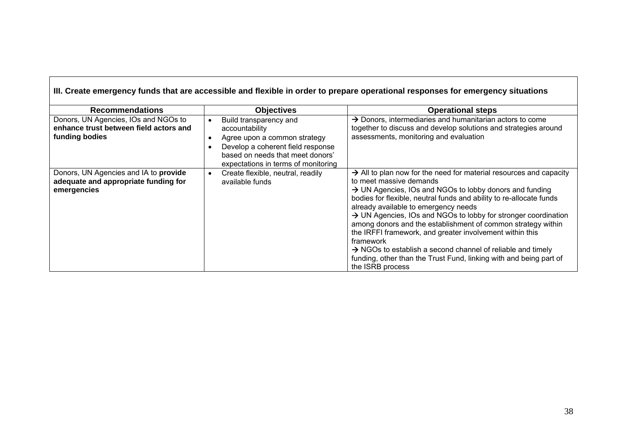|                                                                                                  |                                                                                                                                                                                          | III. Create emergency funds that are accessible and flexible in order to prepare operational responses for emergency situations                                                                                                                                                                                                                                                                                                                                                                                                                                                                                                                                                             |
|--------------------------------------------------------------------------------------------------|------------------------------------------------------------------------------------------------------------------------------------------------------------------------------------------|---------------------------------------------------------------------------------------------------------------------------------------------------------------------------------------------------------------------------------------------------------------------------------------------------------------------------------------------------------------------------------------------------------------------------------------------------------------------------------------------------------------------------------------------------------------------------------------------------------------------------------------------------------------------------------------------|
| <b>Recommendations</b>                                                                           | <b>Objectives</b>                                                                                                                                                                        | <b>Operational steps</b>                                                                                                                                                                                                                                                                                                                                                                                                                                                                                                                                                                                                                                                                    |
| Donors, UN Agencies, IOs and NGOs to<br>enhance trust between field actors and<br>funding bodies | Build transparency and<br>accountability<br>Agree upon a common strategy<br>Develop a coherent field response<br>based on needs that meet donors'<br>expectations in terms of monitoring | $\rightarrow$ Donors, intermediaries and humanitarian actors to come<br>together to discuss and develop solutions and strategies around<br>assessments, monitoring and evaluation                                                                                                                                                                                                                                                                                                                                                                                                                                                                                                           |
| Donors, UN Agencies and IA to provide<br>adequate and appropriate funding for<br>emergencies     | Create flexible, neutral, readily<br>available funds                                                                                                                                     | $\rightarrow$ All to plan now for the need for material resources and capacity<br>to meet massive demands<br>$\rightarrow$ UN Agencies, IOs and NGOs to lobby donors and funding<br>bodies for flexible, neutral funds and ability to re-allocate funds<br>already available to emergency needs<br>$\rightarrow$ UN Agencies, IOs and NGOs to lobby for stronger coordination<br>among donors and the establishment of common strategy within<br>the IRFFI framework, and greater involvement within this<br>framework<br>$\rightarrow$ NGOs to establish a second channel of reliable and timely<br>funding, other than the Trust Fund, linking with and being part of<br>the ISRB process |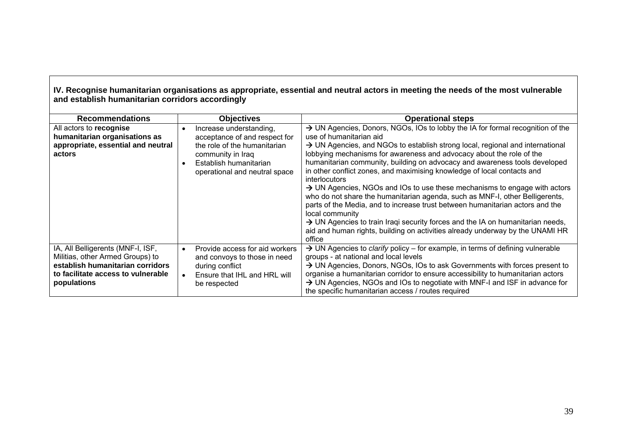#### **IV. Recognise humanitarian organisations as appropriate, essential and neutral actors in meeting the needs of the most vulnerable and establish humanitarian corrid ors accordingl y**

| <b>Recommendations</b>                                                                                                                                         | <b>Objectives</b>                                                                                                                                                        | <b>Operational steps</b>                                                                                                                                                                                                                                                                                                                                                                                                                                                                                                                                                                                                                                                                                                                                                                                                                                                                                                              |
|----------------------------------------------------------------------------------------------------------------------------------------------------------------|--------------------------------------------------------------------------------------------------------------------------------------------------------------------------|---------------------------------------------------------------------------------------------------------------------------------------------------------------------------------------------------------------------------------------------------------------------------------------------------------------------------------------------------------------------------------------------------------------------------------------------------------------------------------------------------------------------------------------------------------------------------------------------------------------------------------------------------------------------------------------------------------------------------------------------------------------------------------------------------------------------------------------------------------------------------------------------------------------------------------------|
| All actors to recognise<br>humanitarian organisations as<br>appropriate, essential and neutral<br>actors                                                       | Increase understanding,<br>acceptance of and respect for<br>the role of the humanitarian<br>community in Iraq<br>Establish humanitarian<br>operational and neutral space | > UN Agencies, Donors, NGOs, IOs to lobby the IA for formal recognition of the<br>use of humanitarian aid<br>$\rightarrow$ UN Agencies, and NGOs to establish strong local, regional and international<br>lobbying mechanisms for awareness and advocacy about the role of the<br>humanitarian community, building on advocacy and awareness tools developed<br>in other conflict zones, and maximising knowledge of local contacts and<br><i>interlocutors</i><br>$\rightarrow$ UN Agencies, NGOs and IOs to use these mechanisms to engage with actors<br>who do not share the humanitarian agenda, such as MNF-I, other Belligerents,<br>parts of the Media, and to increase trust between humanitarian actors and the<br>local community<br>$\rightarrow$ UN Agencies to train Iraqi security forces and the IA on humanitarian needs,<br>aid and human rights, building on activities already underway by the UNAMI HR<br>office |
| IA, All Belligerents (MNF-I, ISF,<br>Militias, other Armed Groups) to<br>establish humanitarian corridors<br>to facilitate access to vulnerable<br>populations | Provide access for aid workers<br>and convoys to those in need<br>during conflict<br>Ensure that IHL and HRL will<br>be respected                                        | $\rightarrow$ UN Agencies to <i>clarify</i> policy – for example, in terms of defining vulnerable<br>groups - at national and local levels<br>> UN Agencies, Donors, NGOs, IOs to ask Governments with forces present to<br>organise a humanitarian corridor to ensure accessibility to humanitarian actors<br>$\rightarrow$ UN Agencies, NGOs and IOs to negotiate with MNF-I and ISF in advance for<br>the specific humanitarian access / routes required                                                                                                                                                                                                                                                                                                                                                                                                                                                                           |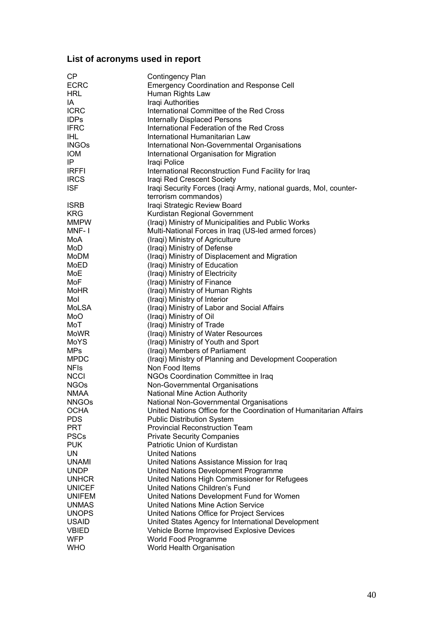## <span id="page-40-0"></span>**List of acronyms used in report**

| <b>CP</b>     | Contingency Plan                                                   |
|---------------|--------------------------------------------------------------------|
| <b>ECRC</b>   | <b>Emergency Coordination and Response Cell</b>                    |
| <b>HRL</b>    | Human Rights Law                                                   |
| IA            | Iraqi Authorities                                                  |
| <b>ICRC</b>   | International Committee of the Red Cross                           |
| <b>IDPs</b>   | <b>Internally Displaced Persons</b>                                |
| <b>IFRC</b>   | International Federation of the Red Cross                          |
| <b>IHL</b>    | International Humanitarian Law                                     |
| <b>INGOs</b>  | International Non-Governmental Organisations                       |
| <b>IOM</b>    |                                                                    |
|               | International Organisation for Migration                           |
| IP            | Iraqi Police                                                       |
| <b>IRFFI</b>  | International Reconstruction Fund Facility for Iraq                |
| <b>IRCS</b>   | Iraqi Red Crescent Society                                         |
| <b>ISF</b>    | Iraqi Security Forces (Iraqi Army, national guards, Mol, counter-  |
|               | terrorism commandos)                                               |
| <b>ISRB</b>   | Iraqi Strategic Review Board                                       |
| <b>KRG</b>    | Kurdistan Regional Government                                      |
| <b>MMPW</b>   | (Iraqi) Ministry of Municipalities and Public Works                |
| MNF-1         | Multi-National Forces in Iraq (US-led armed forces)                |
| MoA           | (Iraqi) Ministry of Agriculture                                    |
| MoD           | (Iraqi) Ministry of Defense                                        |
| MoDM          | (Iraqi) Ministry of Displacement and Migration                     |
| MoED          | (Iraqi) Ministry of Education                                      |
| MoE           | (Iraqi) Ministry of Electricity                                    |
| MoF           | (Iraqi) Ministry of Finance                                        |
| <b>MoHR</b>   | (Iraqi) Ministry of Human Rights                                   |
| Mol           | (Iraqi) Ministry of Interior                                       |
| MoLSA         | (Iraqi) Ministry of Labor and Social Affairs                       |
| MoO           | (Iraqi) Ministry of Oil                                            |
| MoT           | (Iraqi) Ministry of Trade                                          |
| <b>MoWR</b>   | (Iraqi) Ministry of Water Resources                                |
| MoYS          | (Iraqi) Ministry of Youth and Sport                                |
| <b>MPs</b>    | (Iraqi) Members of Parliament                                      |
| <b>MPDC</b>   | (Iraqi) Ministry of Planning and Development Cooperation           |
| <b>NFIS</b>   | Non Food Items                                                     |
| <b>NCCI</b>   | NGOs Coordination Committee in Iraq                                |
| <b>NGOs</b>   | Non-Governmental Organisations                                     |
| <b>NMAA</b>   | National Mine Action Authority                                     |
| <b>NNGOs</b>  | National Non-Governmental Organisations                            |
| <b>OCHA</b>   | United Nations Office for the Coordination of Humanitarian Affairs |
| <b>PDS</b>    | <b>Public Distribution System</b>                                  |
| <b>PRT</b>    | <b>Provincial Reconstruction Team</b>                              |
| <b>PSCs</b>   | <b>Private Security Companies</b>                                  |
| <b>PUK</b>    | Patriotic Union of Kurdistan                                       |
| UN            | <b>United Nations</b>                                              |
| <b>UNAMI</b>  | United Nations Assistance Mission for Iraq                         |
| <b>UNDP</b>   | United Nations Development Programme                               |
| <b>UNHCR</b>  | United Nations High Commissioner for Refugees                      |
| <b>UNICEF</b> | United Nations Children's Fund                                     |
| <b>UNIFEM</b> | United Nations Development Fund for Women                          |
| <b>UNMAS</b>  | United Nations Mine Action Service                                 |
| <b>UNOPS</b>  |                                                                    |
|               | United Nations Office for Project Services                         |
| <b>USAID</b>  | United States Agency for International Development                 |
| <b>VBIED</b>  | Vehicle Borne Improvised Explosive Devices                         |
| <b>WFP</b>    | World Food Programme                                               |
| <b>WHO</b>    | World Health Organisation                                          |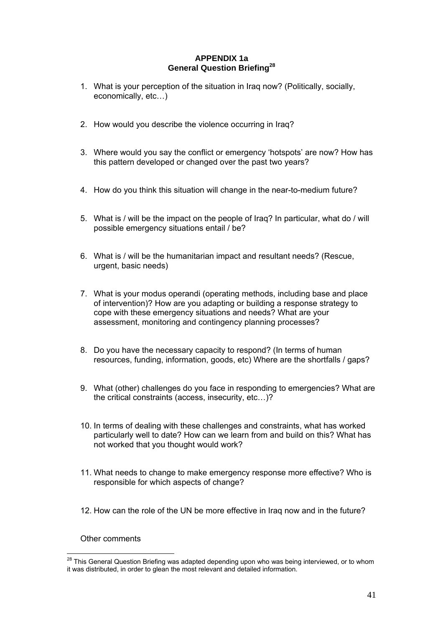#### **APPENDIX 1a General Question Briefing[28](#page-41-1)**

- <span id="page-41-0"></span>1. What is your perception of the situation in Iraq now? (Politically, socially, economically, etc…)
- 2. How would you describe the violence occurring in Iraq?
- 3. Where would you say the conflict or emergency 'hotspots' are now? How has this pattern developed or changed over the past two years?
- 4. How do you think this situation will change in the near-to-medium future?
- 5. What is / will be the impact on the people of Iraq? In particular, what do / will possible emergency situations entail / be?
- 6. What is / will be the humanitarian impact and resultant needs? (Rescue, urgent, basic needs)
- 7. What is your modus operandi (operating methods, including base and place of intervention)? How are you adapting or building a response strategy to cope with these emergency situations and needs? What are your assessment, monitoring and contingency planning processes?
- 8. Do you have the necessary capacity to respond? (In terms of human resources, funding, information, goods, etc) Where are the shortfalls / gaps?
- 9. What (other) challenges do you face in responding to emergencies? What are the critical constraints (access, insecurity, etc…)?
- 10. In terms of dealing with these challenges and constraints, what has worked particularly well to date? How can we learn from and build on this? What has not worked that you thought would work?
- 11. What needs to change to make emergency response more effective? Who is responsible for which aspects of change?
- 12. How can the role of the UN be more effective in Iraq now and in the future?

Other comments

<span id="page-41-1"></span> $\overline{a}$  $^{28}$  This General Question Briefing was adapted depending upon who was being interviewed, or to whom it was distributed, in order to glean the most relevant and detailed information.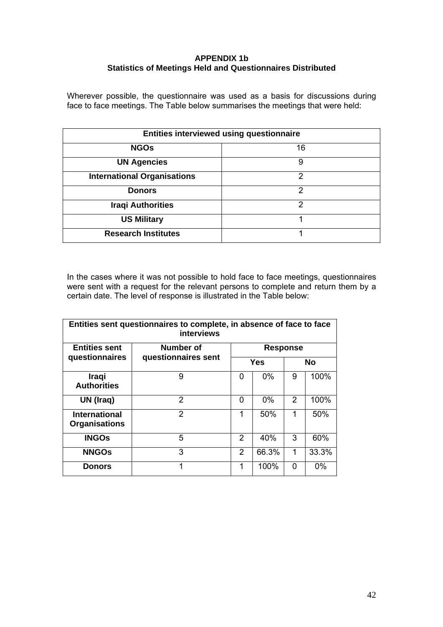#### **APPENDIX 1b Statistics of Meetings Held and Questionnaires Distributed**

<span id="page-42-0"></span>Wherever possible, the questionnaire was used as a basis for discussions during face to face meetings. The Table below summarises the meetings that were held:

| <b>Entities interviewed using questionnaire</b> |    |  |
|-------------------------------------------------|----|--|
| <b>NGOs</b>                                     | 16 |  |
| <b>UN Agencies</b>                              | 9  |  |
| <b>International Organisations</b>              | 2  |  |
| <b>Donors</b>                                   | 2  |  |
| <b>Iraqi Authorities</b>                        | っ  |  |
| <b>US Military</b>                              | 1  |  |
| <b>Research Institutes</b>                      |    |  |

In the cases where it was not possible to hold face to face meetings, questionnaires were sent with a request for the relevant persons to complete and return them by a certain date. The level of response is illustrated in the Table below:

| Entities sent questionnaires to complete, in absence of face to face<br><b>interviews</b> |                     |                 |       |           |       |
|-------------------------------------------------------------------------------------------|---------------------|-----------------|-------|-----------|-------|
| <b>Entities sent</b>                                                                      | Number of           | <b>Response</b> |       |           |       |
| questionnaires                                                                            | questionnaires sent | Yes             |       | <b>No</b> |       |
| <b>Iraqi</b><br><b>Authorities</b>                                                        | 9                   | 0               | $0\%$ | 9         | 100%  |
| UN (Iraq)                                                                                 | 2                   | 0               | $0\%$ | 2         | 100%  |
| <b>International</b><br><b>Organisations</b>                                              | $\mathcal{P}$       | 1               | 50%   | 1         | 50%   |
| <b>INGOS</b>                                                                              | 5                   | 2               | 40%   | 3         | 60%   |
| <b>NNGOS</b>                                                                              | 3                   | $\mathcal{P}$   | 66.3% | 1         | 33.3% |
| <b>Donors</b>                                                                             | 1                   | 1               | 100%  | 0         | $0\%$ |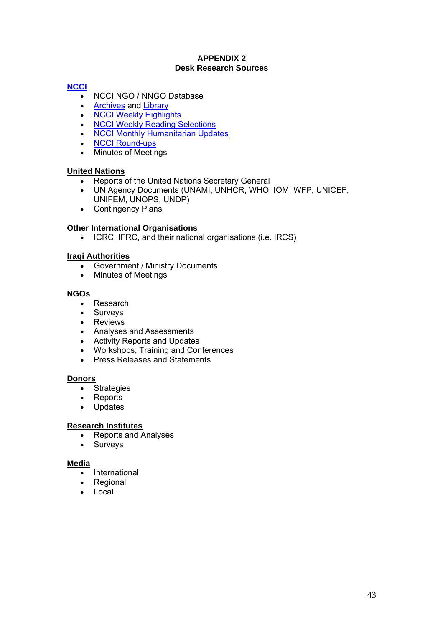#### **APPENDIX 2 Desk Research Sources**

#### <span id="page-43-0"></span>**[NCCI](http://www.ncciraq.org/)**

- NCCI NGO / NNGO Database
- **[Archives](http://www.ncciraq.org/rubrique.php3?id_rubrique=6) and [Library](http://www.ncciraq.org/rubrique.php3?id_rubrique=7)**
- [NCCI Weekly Highlights](http://www.ncciraq.org/rubrique.php3?id_rubrique=219)
- **[NCCI Weekly Reading Selections](http://www.ncciraq.org/rubrique.php3?id_rubrique=248)**
- **[NCCI Monthly Humanitarian Updates](http://www.ncciraq.org/rubrique.php3?id_rubrique=262)**
- [NCCI Round-ups](http://www.ncciraq.org/rubrique.php3?id_rubrique=256)
- Minutes of Meetings

#### **United Nations**

- Reports of the United Nations Secretary General
- UN Agency Documents (UNAMI, UNHCR, WHO, IOM, WFP, UNICEF, UNIFEM, UNOPS, UNDP)
- Contingency Plans

#### **Other International Organisations**

• ICRC, IFRC, and their national organisations (i.e. IRCS)

#### **Iraqi Authorities**

- Government / Ministry Documents
- Minutes of Meetings

#### **NGOs**

- Research
- Surveys
- Reviews
- Analyses and Assessments
- Activity Reports and Updates
- Workshops, Training and Conferences
- Press Releases and Statements

#### **Donors**

- Strategies
- Reports
- **Updates**

#### **Research Institutes**

- Reports and Analyses
- Surveys

#### **Media**

- International
- **Regional**
- **Local**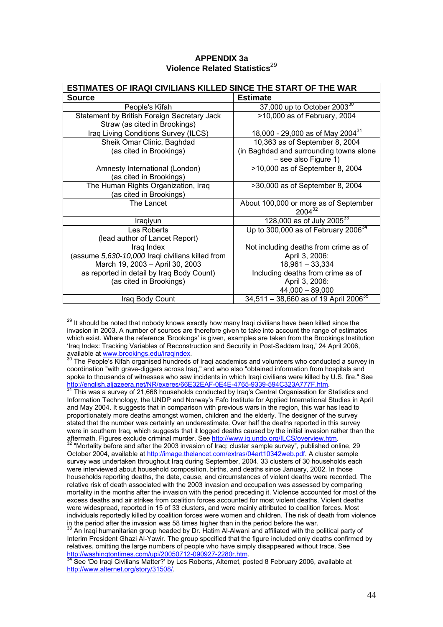| <b>APPENDIX 3a</b>                        |  |
|-------------------------------------------|--|
| Violence Related Statistics <sup>29</sup> |  |

<span id="page-44-0"></span>

| <b>ESTIMATES OF IRAQI CIVILIANS KILLED SINCE THE START OF THE WAR</b> |                                                                 |  |
|-----------------------------------------------------------------------|-----------------------------------------------------------------|--|
| <b>Source</b>                                                         | <b>Estimate</b>                                                 |  |
| People's Kifah                                                        | 37,000 up to October 2003 <sup>30</sup>                         |  |
| Statement by British Foreign Secretary Jack                           | >10,000 as of February, 2004                                    |  |
| Straw (as cited in Brookings)                                         |                                                                 |  |
| Iraq Living Conditions Survey (ILCS)                                  | 18,000 - 29,000 as of May 2004 <sup>31</sup>                    |  |
| Sheik Omar Clinic, Baghdad                                            | 10,363 as of September 8, 2004                                  |  |
| (as cited in Brookings)                                               | (in Baghdad and surrounding towns alone<br>- see also Figure 1) |  |
|                                                                       |                                                                 |  |
| Amnesty International (London)<br>(as cited in Brookings)             | >10,000 as of September 8, 2004                                 |  |
| The Human Rights Organization, Iraq                                   | >30,000 as of September 8, 2004                                 |  |
| (as cited in Brookings)                                               |                                                                 |  |
| The Lancet                                                            | About 100,000 or more as of September                           |  |
|                                                                       | $2004^{32}$                                                     |  |
| Iraqiyun                                                              | 128,000 as of July 2005 $^{33}$                                 |  |
| Les Roberts                                                           | Up to 300,000 as of February $2006^{34}$                        |  |
| (lead author of Lancet Report)                                        |                                                                 |  |
| Iraq Index                                                            | Not including deaths from crime as of                           |  |
| (assume 5,630-10,000 Iraqi civilians killed from                      | April 3, 2006:                                                  |  |
| March 19, 2003 - April 30, 2003                                       | $18,961 - 33,334$                                               |  |
| as reported in detail by Iraq Body Count)                             | Including deaths from crime as of                               |  |
| (as cited in Brookings)                                               | April 3, 2006:                                                  |  |
|                                                                       | $44,000 - 89,000$                                               |  |
| Iraq Body Count                                                       | $34,511 - 38,660$ as of 19 April 2006 <sup>35</sup>             |  |

<span id="page-44-1"></span> $^{29}$  It should be noted that nobody knows exactly how many Iraqi civilians have been killed since the invasion in 2003. A number of sources are therefore given to take into account the range of estimates which exist. Where the reference 'Brookings' is given, examples are taken from the Brookings Institution 'Iraq Index: Tracking Variables of Reconstruction and Security in Post-Saddam Iraq,' 24 April 2006, available at www.brookings.edu/iraqindex.

 $\overline{a}$ 

<span id="page-44-3"></span>Information Technology, the UNDP and Norway's Fafo Institute for Applied International Studies in April and May 2004. It suggests that in comparison with previous wars in the region, this war has lead to proportionately more deaths amongst women, children and the elderly. The designer of the survey stated that the number was certainly an underestimate. Over half the deaths reported in this survey were in southern Iraq, which suggests that it logged deaths caused by the initial invasion rather than the aftermath. Figures exclude criminal murder. See http://www.iq.undp.org/ILCS/overview.htm.

<span id="page-44-4"></span>"Mortality before and after the 2003 invasion of Iraq: cluster sample survey", published online, 29 October 2004, available at [http://image.thelancet.com/extras/04art10342web.pdf.](http://image.thelancet.com/extras/04art10342web.pdf) A cluster sample survey was undertaken throughout Iraq during September, 2004. 33 clusters of 30 households each were interviewed about household composition, births, and deaths since January, 2002. In those households reporting deaths, the date, cause, and circumstances of violent deaths were recorded. The relative risk of death associated with the 2003 invasion and occupation was assessed by comparing mortality in the months after the invasion with the period preceding it. Violence accounted for most of the excess deaths and air strikes from coalition forces accounted for most violent deaths. Violent deaths were widespread, reported in 15 of 33 clusters, and were mainly attributed to coalition forces. Most individuals reportedly killed by coalition forces were women and children. The risk of death from violence in the period after the invasion was 58 times higher than in the period before the war.<br>33 An Iraqi humanitarian group headed by Dr. Hatim Al-Alwani and affiliated with the political party of

<span id="page-44-5"></span>Interim President Ghazi Al-Yawir. The group specified that the figure included only deaths confirmed by relatives, omitting the large numbers of people who have simply disappeared without trace. See http://washingtontimes.com/upi/20050712-090927-2280r.htm.

<span id="page-44-2"></span>The People's Kifah organised hundreds of Iraqi academics and volunteers who conducted a survey in coordination "with grave-diggers across Iraq," and who also "obtained information from hospitals and spoke to thousands of witnesses who saw incidents in which Iraqi civilians were killed by U.S. fire." See [http://english.aljazeera.net/NR/exeres/66E32EAF-0E4E-4765-9339-594C323A777F.htm.](http://english.aljazeera.net/NR/exeres/66E32EAF-0E4E-4765-9339-594C323A777F.htm) [31](http://english.aljazeera.net/NR/exeres/66E32EAF-0E4E-4765-9339-594C323A777F.htm) This was a survey of 21,668 households conducted by Iraq's Central Organisation for Statistics and 31

<span id="page-44-6"></span>See 'Do Iraqi Civilians Matter?' by Les Roberts, Alternet, posted 8 February 2006, available at <http://www.alternet.org/story/31508/>.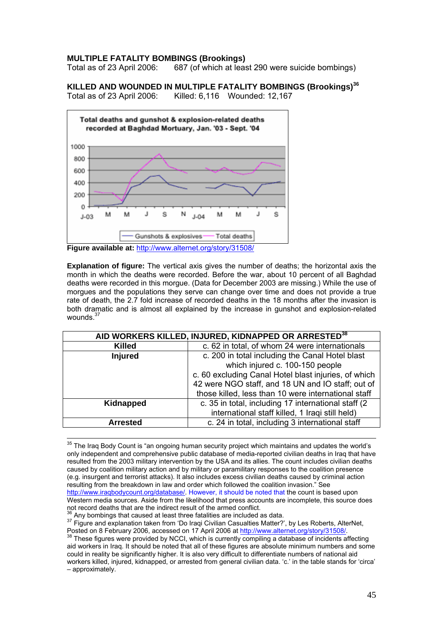#### **MULTIPLE FATALITY BOMBINGS (Brookings)**

Total as of 23 April 2006: 687 (of which at least 290 were suicide bombings)

**KILLED AND WOUNDED IN MULTIPLE FATALITY BOMBINGS (Brookings)[36](#page-45-0)**

Total as of 23 April 2006: Killed: 6,116 Wounded: 12,167



**Figure available at:** <http://www.alternet.org/story/31508/>

**Explanation of figure:** The vertical axis gives the number of deaths; the horizontal axis the month in which the deaths were recorded. Before the war, about 10 percent of all Baghdad deaths were recorded in this morgue. (Data for December 2003 are missing.) While the use of morgues and the populations they serve can change over time and does not provide a true rate of death, the 2.7 fold increase of recorded deaths in the 18 months after the invasion is both dramatic and is almost all explained by the increase in gunshot and explosion-related wounds.<sup>[37](#page-45-1)</sup>

| AID WORKERS KILLED, INJURED, KIDNAPPED OR ARRESTED <sup>38</sup> |                                                      |  |
|------------------------------------------------------------------|------------------------------------------------------|--|
| <b>Killed</b>                                                    | c. 62 in total, of whom 24 were internationals       |  |
| <b>Injured</b>                                                   | c. 200 in total including the Canal Hotel blast      |  |
|                                                                  | which injured c. 100-150 people                      |  |
|                                                                  | c. 60 excluding Canal Hotel blast injuries, of which |  |
|                                                                  | 42 were NGO staff, and 18 UN and IO staff; out of    |  |
|                                                                  | those killed, less than 10 were international staff  |  |
| Kidnapped                                                        | c. 35 in total, including 17 international staff (2) |  |
|                                                                  | international staff killed, 1 Iraqi still held)      |  |
| <b>Arrested</b>                                                  | c. 24 in total, including 3 international staff      |  |

<sup>35</sup> The Iraa Body Count is "an ongoing human security project which maintains and updates the world's only independent and comprehensive public database of media-reported civilian deaths in Iraq that have resulted from the 2003 military intervention by the USA and its allies. The count includes civilian deaths caused by coalition military action and by military or paramilitary responses to the coalition presence (e.g. insurgent and terrorist attacks). It also includes excess civilian deaths caused by criminal action resulting from the breakdown in law and order which followed the coalition invasion." See <http://www.iraqbodycount.org/database/>. However, it should be noted that the count is based upon Western media sources. Aside from the likelihood that press accounts are incomplete, this source does

<span id="page-45-1"></span><span id="page-45-0"></span>

not record deaths that are the indirect result of the armed conflict.<br><sup>36</sup> Any bombings that caused at least three fatalities are included as data.<br><sup>37</sup> Figure and explanation taken from 'Do Iraqi Civilian Casualties Matte

<span id="page-45-2"></span>Posted on 8 February 2006, accessed on 17 April 2006 at [http://www.alternet.org/story/31508/.](http://www.alternet.org/story/31508/)<br><sup>38</sup> These figures were provided by NCCI, which is currently compiling a database of incidents affecting aid workers in Iraq. It should be noted that all of these figures are absolute minimum numbers and some could in reality be significantly higher. It is also very difficult to differentiate numbers of national aid workers killed, injured, kidnapped, or arrested from general civilian data. 'c.' in the table stands for 'circa' – approximately.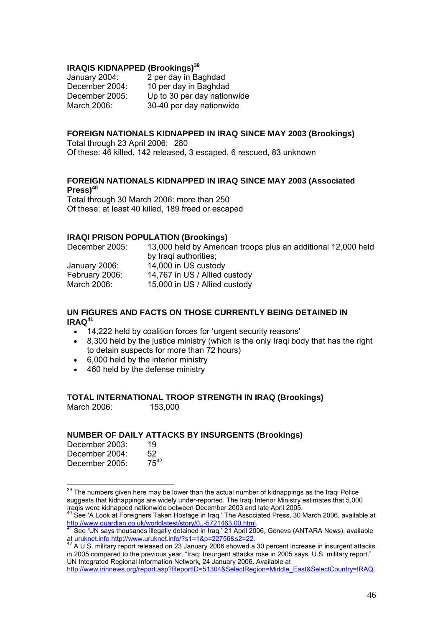#### **IRAQIS KIDNAPPED (Brookings)[39](#page-46-0)**

January 2004: 2 per day in Baghdad December 2004: 10 per day in Baghdad December 2005: Up to 30 per day nationwide March 2006: 30-40 per day nationwide

#### **FOREIGN NATIONALS KIDNAPPED IN IRAQ SINCE MAY 2003 (Brookings)**

Total through 23 April 2006: 280 Of these: 46 killed, 142 released, 3 escaped, 6 rescued, 83 unknown

#### **FOREIGN NATIONALS KIDNAPPED IN IRAQ SINCE MAY 2003 (Associated Press)[40](#page-46-1)**

Total through 30 March 2006: more than 250 Of these: at least 40 killed, 189 freed or escaped

#### **IRAQI PRISON POPULATION (Brookings)**

December 2005: 13,000 held by American troops plus an additional 12,000 held by Iraqi authorities; January 2006: 14,000 in US custody February 2006: 14,767 in US / Allied custody March 2006: 15,000 in US / Allied custody

#### **UN FIGURES AND FACTS ON THOSE CURRENTLY BEING DETAINED IN IRAQ[41](#page-46-2)**

- 14,222 held by coalition forces for 'urgent security reasons'
- 8,300 held by the justice ministry (which is the only Iraqi body that has the right to detain suspects for more than 72 hours)
- 6,000 held by the interior ministry
- 460 held by the defense ministry

#### **TOTAL INTERNATIONAL TROOP STRENGTH IN IRAQ (Brookings)**  March 2006: 153,000

### **NUMBER OF DAILY ATTACKS BY INSURGENTS (Brookings)**

| December 2003: | 19        |
|----------------|-----------|
| December 2004: | 52        |
| December 2005: | $75^{42}$ |

<span id="page-46-0"></span> $\overline{a}$  $39$  The numbers given here may be lower than the actual number of kidnappings as the Iraqi Police suggests that kidnappings are widely under-reported. The Iraqi Interior Ministry estimates that 5,000 Iraqis were kidnapped nationwide between December 2003 and late April 2005.<br><sup>40</sup> See 'A Look at Foreigners Taken Hostage in Iraq,' The Associated Press, 30 March 2006, available at <sup>40</sup> See 'A Look at Foreigners Taken Host

<span id="page-46-1"></span>[http://www.guardian.co.uk/worldlatest/story/0,,-5721463,00.html.](http://www.guardian.co.uk/worldlatest/story/0,,-5721463,00.html)<br><sup>41</sup> See 'UN says thousands illegally detained in Iraq,' 21 April 2006, Geneva (ANTARA News), available

<span id="page-46-2"></span>at uruknet.info <http://www.uruknet.info/?s1=1&p=22756&s2=22>.<br><sup>42</sup> A U.S. military report released on 23 January 2006 showed a 30 percent increase in insurgent attacks

<span id="page-46-3"></span>in 2005 compared to the previous year. "Iraq: Insurgent attacks rose in 2005 says, U.S. military report." UN Integrated Regional Information Network, 24 January 2006. Available at

[http://www.irinnews.org/report.asp?ReportID=51304&SelectRegion=Middle\\_East&SelectCountry=IRAQ](http://www.irinnews.org/report.asp?ReportID=51304&SelectRegion=Middle_East&SelectCountry=IRAQ).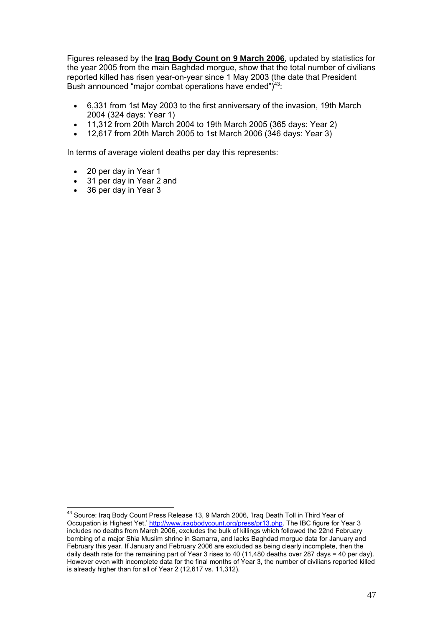Figures released by the **Iraq Body Count on 9 March 2006**, updated by statistics for the year 2005 from the main Baghdad morgue, show that the total number of civilians reported killed has risen year-on-year since 1 May 2003 (the date that President Bush announced "major combat operations have ended")<sup>43</sup>:

- 6,331 from 1st May 2003 to the first anniversary of the invasion, 19th March 2004 (324 days: Year 1)
- 11,312 from 20th March 2004 to 19th March 2005 (365 days: Year 2)
- 12,617 from 20th March 2005 to 1st March 2006 (346 days: Year 3)

In terms of average violent deaths per day this represents:

- 20 per day in Year 1
- 31 per day in Year 2 and
- 36 per day in Year 3

 $\overline{a}$ 

<span id="page-47-0"></span> $^{43}$  Source: Iraq Body Count Press Release 13, 9 March 2006, 'Iraq Death Toll in Third Year of Occupation is Highest Yet,' [http://www.iraqbodycount.org/press/pr13.php.](http://www.iraqbodycount.org/press/pr13.php) The IBC figure for Year 3 includes no deaths from March 2006, excludes the bulk of killings which followed the 22nd February bombing of a major Shia Muslim shrine in Samarra, and lacks Baghdad morgue data for January and February this year. If January and February 2006 are excluded as being clearly incomplete, then the daily death rate for the remaining part of Year 3 rises to 40 (11,480 deaths over 287 days = 40 per day). However even with incomplete data for the final months of Year 3, the number of civilians reported killed is already higher than for all of Year 2 (12,617 vs. 11,312).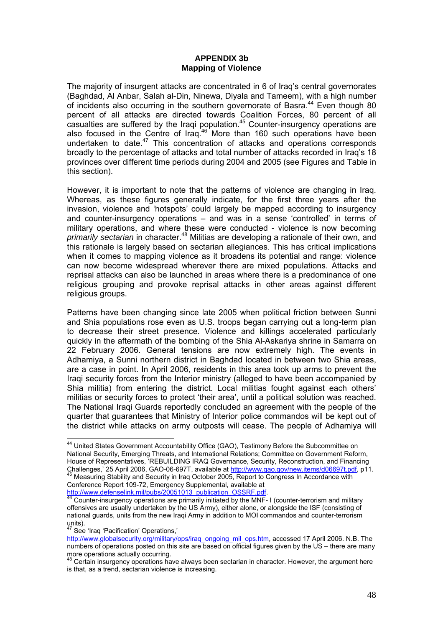#### **APPENDIX 3b Mapping of Violence**

<span id="page-48-0"></span>The majority of insurgent attacks are concentrated in 6 of Iraq's central governorates (Baghdad, Al Anbar, Salah al-Din, Ninewa, Diyala and Tameem), with a high number of incidents also occurring in the southern governorate of Basra.<sup>44</sup> Even though 80 percent of all attacks are directed towards Coalition Forces, 80 percent of all casualties are suffered by the Iraqi population.[45](#page-48-2) Counter-insurgency operations are also focused in the Centre of Iraq.[46](#page-48-3) More than 160 such operations have been undertaken to date. $47$  This concentration of attacks and operations corresponds broadly to the percentage of attacks and total number of attacks recorded in Iraq's 18 provinces over different time periods during 2004 and 2005 (see Figures and Table in this section).

However, it is important to note that the patterns of violence are changing in Iraq. Whereas, as these figures generally indicate, for the first three years after the invasion, violence and 'hotspots' could largely be mapped according to insurgency and counter-insurgency operations – and was in a sense 'controlled' in terms of military operations, and where these were conducted - violence is now becoming *primarily sectarian* in character.[48](#page-48-5) Militias are developing a rationale of their own, and this rationale is largely based on sectarian allegiances. This has critical implications when it comes to mapping violence as it broadens its potential and range: violence can now become widespread wherever there are mixed populations. Attacks and reprisal attacks can also be launched in areas where there is a predominance of one religious grouping and provoke reprisal attacks in other areas against different religious groups.

Patterns have been changing since late 2005 when political friction between Sunni and Shia populations rose even as U.S. troops began carrying out a long-term plan to decrease their street presence. Violence and killings accelerated particularly quickly in the aftermath of the bombing of the Shia Al-Askariya shrine in Samarra on 22 February 2006. General tensions are now extremely high. The events in Adhamiya, a Sunni northern district in Baghdad located in between two Shia areas, are a case in point. In April 2006, residents in this area took up arms to prevent the Iraqi security forces from the Interior ministry (alleged to have been accompanied by Shia militia) from entering the district. Local militias fought against each others' militias or security forces to protect 'their area', until a political solution was reached. The National Iraqi Guards reportedly concluded an agreement with the people of the quarter that guarantees that Ministry of Interior police commandos will be kept out of the district while attacks on army outposts will cease. The people of Adhamiya will

 $\overline{a}$ 

<span id="page-48-1"></span><sup>&</sup>lt;sup>44</sup> United States Government Accountability Office (GAO), Testimony Before the Subcommittee on National Security, Emerging Threats, and International Relations; Committee on Government Reform, House of Representatives, 'REBUILDING IRAQ Governance, Security, Reconstruction, and Financing Challenges,' 25 April 2006, GAO-06-697T, available at <http://www.gao.gov/new.items/d06697t.pdf>, p11.<br>
<sup>45</sup> Measuring Stability and Security in Iraq October 2005, Report to Congress In Accordance with

<span id="page-48-2"></span>Conference Report 109-72, Emergency Supplemental, available at<br>http://www.defenselink.mil/pubs/20051013 publication OSSRF.pdf.

<span id="page-48-3"></span>Counter-insurgency operations are primarily initiated by the MNF- I (counter-terrorism and military offensives are usually undertaken by the US Army), either alone, or alongside the ISF (consisting of national guards, units from the new Iraqi Army in addition to MOI commandos and counter-terrorism units).

<span id="page-48-4"></span><sup>&</sup>lt;sup>47</sup> See 'Iraq 'Pacification' Operations,'

[http://www.globalsecurity.org/military/ops/iraq\\_ongoing\\_mil\\_ops.htm](http://www.globalsecurity.org/military/ops/iraq_ongoing_mil_ops.htm), accessed 17 April 2006. N.B. The numbers of operations posted on this site are based on official figures given by the US – there are many more operations actually occurring.

<span id="page-48-5"></span> $\beta$  Certain insurgency operations have always been sectarian in character. However, the argument here is that, as a trend, sectarian violence is increasing.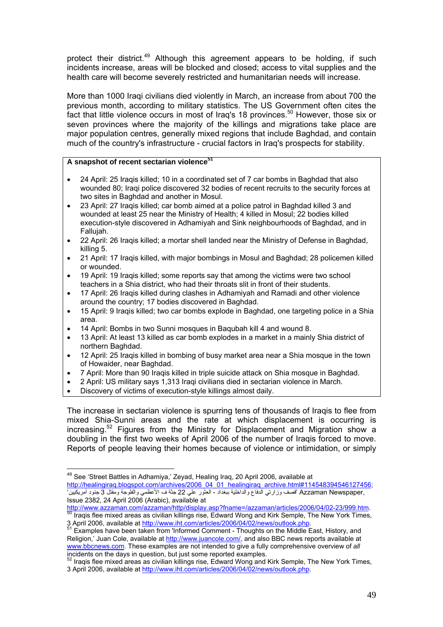protect their district.<sup>49</sup> Although this agreement appears to be holding, if such incidents increase, areas will be blocked and closed; access to vital supplies and the health care will become severely restricted and humanitarian needs will increase.

More than 1000 Iraqi civilians died violently in March, an increase from about 700 the previous month, according to military statistics. The US Government often cites the fact that little violence occurs in most of Iraq's 18 provinces.<sup>50</sup> However, those six or seven provinces where the majority of the killings and migrations take place are major population centres, generally mixed regions that include Baghdad, and contain much of the country's infrastructure - crucial factors in Iraq's prospects for stability.

#### **A snapshot of recent sectarian violenc[e51](#page-49-2)**

- 24 April: 25 Iraqis killed; 10 in a coordinated set of 7 car bombs in Baghdad that also wounded 80; Iraqi police discovered 32 bodies of recent recruits to the security forces at two sites in Baghdad and another in Mosul.
- 23 April: 27 Iraqis killed; car bomb aimed at a police patrol in Baghdad killed 3 and wounded at least 25 near the Ministry of Health; 4 killed in Mosul; 22 bodies killed execution-style discovered in Adhamiyah and Sink neighbourhoods of Baghdad, and in Fallujah.
- 22 April: 26 Iraqis killed; a mortar shell landed near the Ministry of Defense in Baghdad, killing 5.
- 21 April: 17 Iraqis killed, with major bombings in Mosul and Baghdad; 28 policemen killed or wounded.
- 19 April: [19 Iraqis killed](http://www.mg.co.za/articlepage.aspx?area=/breaking_news/breaking_news__international_news/&articleid=269617); some reports say that among the victims were two school teachers in a Shia district, who had their throats slit in front of their students.
- 17 April: 26 Iraqis killed during clashes in Adhamiyah and Ramadi and other violence around the country; 17 bodies discovered in Baghdad.
- 15 April: 9 Iraqis killed; two car bombs explode in Baghdad, one targeting police in a Shia area.
- 14 April: Bombs in two Sunni mosques in Baqubah kill 4 and wound 8.
- 13 April: At least 13 killed as car bomb explodes in a market in a mainly Shia district of northern Baghdad.
- 12 April: 25 Iraqis killed in bombing of busy market area near a Shia mosque in the town of Howaider, near Baghdad.
- 7 April: More than 90 Iraqis killed in triple suicide attack on Shia mosque in Baghdad.
- 2 April: US military says 1,313 Iraqi civilians died in sectarian violence in March.
- Discovery of victims of execution-style killings almost daily.

The increase in sectarian violence is spurring tens of thousands of Iraqis to flee from mixed Shia-Sunni areas and the rate at which displacement is occurring is increasing[.52](#page-49-3) Figures from the Ministry for Displacement and Migration show a doubling in the first two weeks of April 2006 of the number of Iraqis forced to move. Reports of people leaving their homes because of violence or intimidation, or simply

<span id="page-49-0"></span> $\overline{a}$ <sup>49</sup> See 'Street Battles in Adhamiya,' Zeyad, Healing Iraq, 20 April 2006, available at http://healingiraq.blogspot.com/archives/2006\_04\_01\_healingiraq\_archive.html#114548394546127456; ,Azzaman Newspaper قصف وزارتي الدفاع والداخلية ببغداد - العثور علي 22 جثة ف الأعظمي والفلوجة ومقتل 3 جنود أمريكيين ' Issue 2382, 24 April 2006 (Arabic), available at

<http://www.azzaman.com/azzaman/http/display.asp?fname=/azzaman/articles/2006/04/02-23/999.htm>.<br><sup>[50](http://www.azzaman.com/azzaman/http/display.asp?fname=/azzaman/articles/2006/04/02-23/999.htm)</sup> Iraqis flee mixed areas as civilian killings rise, Edward Wong and Kirk Semple, The New York Times,

<span id="page-49-2"></span><span id="page-49-1"></span><sup>3</sup> April 2006, available at [http://www.iht.com/articles/2006/04/02/news/outlook.php.](http://www.iht.com/articles/2006/04/02/news/outlook.php)<br>51 Examples have been taken from 'Informed Comment - Thoughts on the Middle East, History, and Religion,' Juan Cole, available at <http://www.juancole.com/>, and also BBC news reports available at [www.bbcnews.com.](http://www.bbcnews.com/) These examples are not intended to give a fully comprehensive overview of *all* incidents on the days in question, but just some reported examples.

<span id="page-49-3"></span>Iraqis flee mixed areas as civilian killings rise, Edward Wong and Kirk Semple, The New York Times, 3 April 2006, available at [http://www.iht.com/articles/2006/04/02/news/outlook.php.](http://www.iht.com/articles/2006/04/02/news/outlook.php)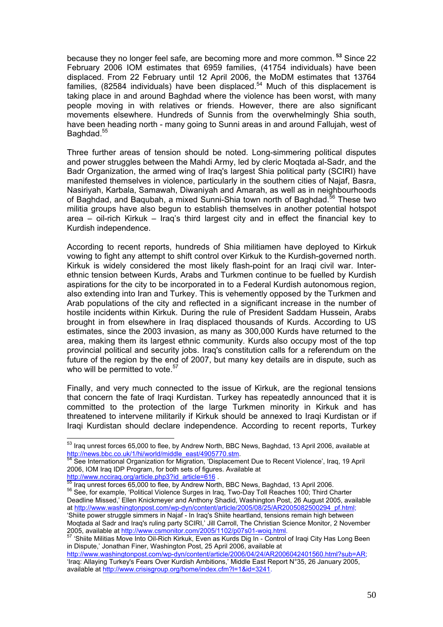because they no longer feel safe, are becoming more and more common.  **[53](#page-50-0)** Since 22 February 2006 IOM estimates that 6959 families, (41754 individuals) have been displaced. From 22 February until 12 April 2006, the MoDM estimates that 13764 families, (82584 individuals) have been displaced.<sup>54</sup> Much of this displacement is taking place in and around Baghdad where the violence has been worst, with many people moving in with relatives or friends. However, there are also significant movements elsewhere. Hundreds of Sunnis from the overwhelmingly Shia south, have been heading north - many going to Sunni areas in and around Fallujah, west of Baghdad.<sup>[55](#page-50-2)</sup>

Three further areas of tension should be noted. Long-simmering political disputes and power struggles between the Mahdi Army, led by cleric Moqtada al-Sadr, and the Badr Organization, the armed wing of Iraq's largest Shia political party (SCIRI) have manifested themselves in violence, particularly in the southern cities of Najaf, Basra, Nasiriyah, Karbala, Samawah, Diwaniyah and Amarah, as well as in neighbourhoods of Baghdad, and Bagubah, a mixed Sunni-Shia town north of Baghdad.<sup>56</sup> These two militia groups have also begun to establish themselves in another potential hotspot area – oil-rich Kirkuk – Iraq's third largest city and in effect the financial key to Kurdish independence.

According to recent reports, hundreds of Shia militiamen have deployed to Kirkuk vowing to fight any attempt to shift control over Kirkuk to the Kurdish-governed north. Kirkuk is widely considered the most likely flash-point for an Iraqi civil war. Interethnic tension between Kurds, Arabs and Turkmen continue to be fuelled by Kurdish aspirations for the city to be incorporated in to a Federal Kurdish autonomous region, also extending into Iran and Turkey. This is vehemently opposed by the Turkmen and Arab populations of the city and reflected in a significant increase in the number of hostile incidents within Kirkuk. During the rule of President Saddam Hussein, Arabs brought in from elsewhere in Iraq displaced thousands of Kurds. According to US estimates, since the 2003 invasion, as many as 300,000 Kurds have returned to the area, making them its largest ethnic community. Kurds also occupy most of the top provincial political and security jobs. Iraq's constitution calls for a referendum on the future of the region by the end of 2007, but many key details are in dispute, such as who will be permitted to vote. $57$ 

Finally, and very much connected to the issue of Kirkuk, are the regional tensions that concern the fate of Iraqi Kurdistan. Turkey has repeatedly announced that it is committed to the protection of the large Turkmen minority in Kirkuk and has threatened to intervene militarily if Kirkuk should be annexed to Iraqi Kurdistan or if Iraqi Kurdistan should declare independence. According to recent reports, Turkey

<span id="page-50-3"></span><span id="page-50-2"></span>[http://www.ncciraq.org/article.php3?id\\_article=616](http://www.ncciraq.org/article.php3?id_article=616).<br>
<sup>55</sup> Iraq unrest forces 65,000 to flee, by Andrew North, BBC News, Baghdad, 13 April 2006.<br>
<sup>56</sup> See, for example, 'Political Violence Surges in Iraq, Two-Day Toll Reach Deadline Missed,' Ellen Knickmeyer and Anthony Shadid, Washington Post, 26 August 2005, available at [http://www.washingtonpost.com/wp-dyn/content/article/2005/08/25/AR2005082500294\\_pf.html](http://www.washingtonpost.com/wp-dyn/content/article/2005/08/25/AR2005082500294_pf.html); 'Shiite power struggle simmers in Najaf - In Iraq's Shiite heartland, tensions remain high between Moqtada al Sadr and Iraq's ruling party SCIRI,' Jill Carroll, The Christian Science Monitor, 2 November 2005, available at <http://www.csmonitor.com/2005/1102/p07s01-woiq.html>.<br>
<sup>57</sup> 'Shiite Militias Move Into Oil-Rich Kirkuk, Even as Kurds Dig In - Control of Iraqi City Has Long Been

[http://www.washingtonpost.com/wp-dyn/content/article/2006/04/24/AR2006042401560.html?sub=AR;](http://www.washingtonpost.com/wp-dyn/content/article/2006/04/24/AR2006042401560.html?sub=AR) 'Iraq: Allaying Turkey's Fears Over Kurdish Ambitions,' Middle East Report N°35, 26 January 2005, available at <http://www.crisisgroup.org/home/index.cfm?l=1&id=3241>.

<span id="page-50-0"></span> $\overline{a}$  $^{53}$  Iraq unrest forces 65,000 to flee, by Andrew North, BBC News, Baghdad, 13 April 2006, available at [http://news.bbc.co.uk/1/hi/world/middle\\_east/4905770.stm](http://news.bbc.co.uk/1/hi/world/middle_east/4905770.stm).<br>
<sup>54</sup> See International Organization for Migration, 'Displacement Due to Recent Violence', Iraq, 19 April

<span id="page-50-1"></span><sup>2006,</sup> IOM Iraq IDP Program, for both sets of figures. Available at

<span id="page-50-4"></span>in Dispute,' Jonathan Finer, Washington Post, 25 April 2006, available at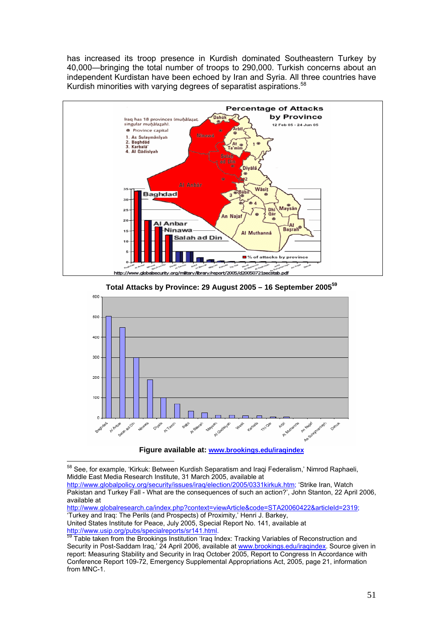has increased its troop presence in Kurdish dominated Southeastern Turkey by 40,000—bringing the total number of troops to 290,000. Turkish concerns about an independent Kurdistan have been echoed by Iran and Syria. All three countries have Kurdish minorities with varying degrees of separatist aspirations.<sup>[58](#page-51-0)</sup>



**Total Attacks by Province: 29 August 2005 – 16 September 2005[59](#page-51-1)**



**Figure available at: [www.brookings.edu/iraqindex](http://www.brookings.edu/iraqindex)**

 $\overline{a}$ 

<http://www.globalresearch.ca/index.php?context=viewArticle&code=STA20060422&articleId=2319>; 'Turkey and Iraq: The Perils (and Prospects) of Proximity,' Henri J. Barkey, United States Institute for Peace, July 2005, Special Report No. 141, available at<br>
http://www.usip.org/pubs/specialreports/sr141.html.<br>
<sup>59</sup> Toble takes from the Rue the Rue to the Rue to the Rue to the Rue to the Rue the

<span id="page-51-0"></span><sup>&</sup>lt;sup>58</sup> See, for example, 'Kirkuk: Between Kurdish Separatism and Iraqi Federalism,' Nimrod Raphaeli, Middle East Media Research Institute, 31 March 2005, available at

[http://www.globalpolicy.org/security/issues/iraq/election/2005/0331kirkuk.htm;](http://www.globalpolicy.org/security/issues/iraq/election/2005/0331kirkuk.htm) 'Strike Iran, Watch Pakistan and Turkey Fall - What are the consequences of such an action?', John Stanton, 22 April 2006, available at

<span id="page-51-1"></span>Table taken from the Brookings Institution 'Iraq Index: Tracking Variables of Reconstruction and Security in Post-Saddam Iraq,' 24 April 2006, available at [www.brookings.edu/iraqindex.](http://www.brookings.edu/iraqindex) Source given in report: Measuring Stability and Security in Iraq October 2005, Report to Congress In Accordance with Conference Report 109-72, Emergency Supplemental Appropriations Act, 2005, page 21, information from MNC-1.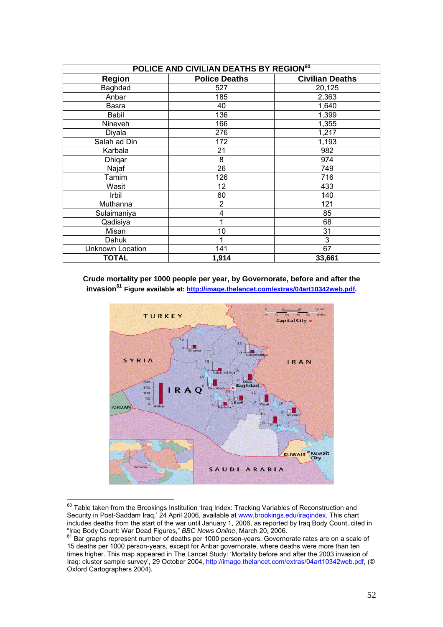| POLICE AND CIVILIAN DEATHS BY REGION <sup>60</sup> |                      |                        |
|----------------------------------------------------|----------------------|------------------------|
| <b>Region</b>                                      | <b>Police Deaths</b> | <b>Civilian Deaths</b> |
| Baghdad                                            | 527                  | 20,125                 |
| Anbar                                              | 185                  | 2,363                  |
| Basra                                              | 40                   | 1,640                  |
| Babil                                              | 136                  | 1,399                  |
| Nineveh                                            | 166                  | 1,355                  |
| Diyala                                             | 276                  | 1,217                  |
| Salah ad Din                                       | 172                  | 1,193                  |
| Karbala                                            | 21                   | 982                    |
| Dhiqar                                             | 8                    | 974                    |
| Najaf                                              | 26                   | 749                    |
| Tamim                                              | 126                  | 716                    |
| Wasit                                              | 12                   | 433                    |
| Irbil                                              | 60                   | 140                    |
| Muthanna                                           | $\overline{2}$       | 121                    |
| Sulaimaniya                                        | 4                    | 85                     |
| Qadisiya                                           |                      | 68                     |
| Misan                                              | 10                   | 31                     |
| Dahuk                                              |                      | 3                      |
| <b>Unknown Location</b>                            | 141                  | 67                     |
| <b>TOTAL</b>                                       | 1,914                | 33,661                 |

#### **Crude mortality per 1000 people per year, by Governorate, before and after the invasion[61](#page-52-1) Figure available at: [http://image.thelancet.com/extras/04art10342web.pdf.](http://image.thelancet.com/extras/04art10342web.pdf)**



<span id="page-52-0"></span> $^{60}$  Table taken from the Brookings Institution 'Iraq Index: Tracking Variables of Reconstruction and Security in Post-Saddam Iraq,' 24 April 2006, available at [www.brookings.edu/iraqindex.](http://www.brookings.edu/iraqindex) This chart includes deaths from the start of the war until January 1, 2006, as reported by Iraq Body Count, cited in

 $\overline{a}$ 

<span id="page-52-1"></span><sup>&</sup>quot;Iraq Body Count: War Dead Figures," *BBC News Online*, March 20, 2006.<br><sup>61</sup> Bar graphs represent number of deaths per 1000 person-years. Governorate rates are on a scale of 15 deaths per 1000 person-years, except for Anbar governorate, where deaths were more than ten times higher. This map appeared in The Lancet Study: 'Mortality before and after the 2003 invasion of Iraq: cluster sample survey', 29 October 2004, [http://image.thelancet.com/extras/04art10342web.pdf,](http://image.thelancet.com/extras/04art10342web.pdf) (© Oxford Cartographers 2004).